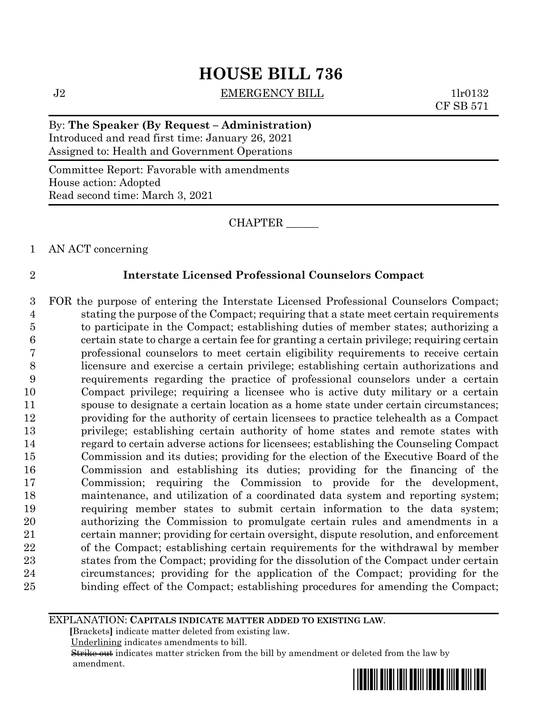# **HOUSE BILL 736**

J2 **EMERGENCY BILL** 1lr0132

CF SB 571

By: **The Speaker (By Request – Administration)** Introduced and read first time: January 26, 2021 Assigned to: Health and Government Operations

Committee Report: Favorable with amendments House action: Adopted Read second time: March 3, 2021

CHAPTER \_\_\_\_\_\_

AN ACT concerning

## **Interstate Licensed Professional Counselors Compact**

 FOR the purpose of entering the Interstate Licensed Professional Counselors Compact; stating the purpose of the Compact; requiring that a state meet certain requirements to participate in the Compact; establishing duties of member states; authorizing a certain state to charge a certain fee for granting a certain privilege; requiring certain professional counselors to meet certain eligibility requirements to receive certain licensure and exercise a certain privilege; establishing certain authorizations and requirements regarding the practice of professional counselors under a certain Compact privilege; requiring a licensee who is active duty military or a certain spouse to designate a certain location as a home state under certain circumstances; providing for the authority of certain licensees to practice telehealth as a Compact privilege; establishing certain authority of home states and remote states with regard to certain adverse actions for licensees; establishing the Counseling Compact Commission and its duties; providing for the election of the Executive Board of the Commission and establishing its duties; providing for the financing of the Commission; requiring the Commission to provide for the development, maintenance, and utilization of a coordinated data system and reporting system; requiring member states to submit certain information to the data system; authorizing the Commission to promulgate certain rules and amendments in a certain manner; providing for certain oversight, dispute resolution, and enforcement of the Compact; establishing certain requirements for the withdrawal by member states from the Compact; providing for the dissolution of the Compact under certain circumstances; providing for the application of the Compact; providing for the binding effect of the Compact; establishing procedures for amending the Compact;

#### EXPLANATION: **CAPITALS INDICATE MATTER ADDED TO EXISTING LAW**.

 **[**Brackets**]** indicate matter deleted from existing law.

Underlining indicates amendments to bill.

 Strike out indicates matter stricken from the bill by amendment or deleted from the law by amendment.

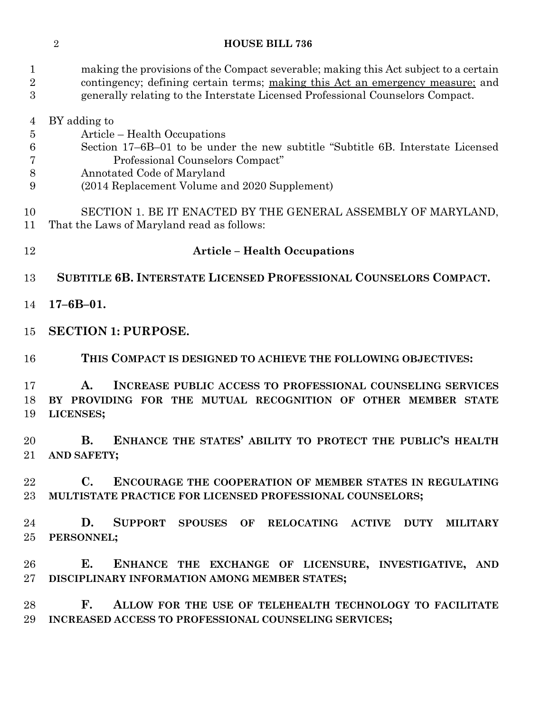## **HOUSE BILL 736**

| $\mathbf{1}$<br>$\overline{2}$<br>3 | making the provisions of the Compact severable; making this Act subject to a certain<br>contingency; defining certain terms; making this Act an emergency measure; and<br>generally relating to the Interstate Licensed Professional Counselors Compact. |
|-------------------------------------|----------------------------------------------------------------------------------------------------------------------------------------------------------------------------------------------------------------------------------------------------------|
| 4                                   | BY adding to                                                                                                                                                                                                                                             |
| $\overline{5}$                      | Article – Health Occupations                                                                                                                                                                                                                             |
| 6                                   | Section 17–6B–01 to be under the new subtitle "Subtitle 6B. Interstate Licensed"                                                                                                                                                                         |
| 7                                   | Professional Counselors Compact"                                                                                                                                                                                                                         |
| 8                                   | Annotated Code of Maryland                                                                                                                                                                                                                               |
| 9                                   | (2014 Replacement Volume and 2020 Supplement)                                                                                                                                                                                                            |
| 10<br>11                            | SECTION 1. BE IT ENACTED BY THE GENERAL ASSEMBLY OF MARYLAND,<br>That the Laws of Maryland read as follows:                                                                                                                                              |
| 12                                  | <b>Article – Health Occupations</b>                                                                                                                                                                                                                      |
| 13                                  | SUBTITLE 6B. INTERSTATE LICENSED PROFESSIONAL COUNSELORS COMPACT.                                                                                                                                                                                        |
| 14                                  | $17 - 6B - 01.$                                                                                                                                                                                                                                          |
| 15                                  | <b>SECTION 1: PURPOSE.</b>                                                                                                                                                                                                                               |
| 16                                  | THIS COMPACT IS DESIGNED TO ACHIEVE THE FOLLOWING OBJECTIVES:                                                                                                                                                                                            |
| 17                                  | A.<br>INCREASE PUBLIC ACCESS TO PROFESSIONAL COUNSELING SERVICES                                                                                                                                                                                         |
| 18                                  | BY PROVIDING FOR THE MUTUAL RECOGNITION OF OTHER MEMBER STATE                                                                                                                                                                                            |
| 19                                  | LICENSES;                                                                                                                                                                                                                                                |
| 20                                  | ENHANCE THE STATES' ABILITY TO PROTECT THE PUBLIC'S HEALTH<br><b>B.</b>                                                                                                                                                                                  |
| 21                                  | <b>AND SAFETY;</b>                                                                                                                                                                                                                                       |
| $22\,$                              | $\mathbf{C}$ .<br><b>ENCOURAGE THE COOPERATION OF MEMBER STATES IN REGULATING</b>                                                                                                                                                                        |
| $23\,$                              | MULTISTATE PRACTICE FOR LICENSED PROFESSIONAL COUNSELORS;                                                                                                                                                                                                |
| 24                                  | D.<br>SUPPORT SPOUSES OF RELOCATING ACTIVE DUTY MILITARY                                                                                                                                                                                                 |
| $25\,$                              | PERSONNEL;                                                                                                                                                                                                                                               |
| 26                                  | E.<br>ENHANCE THE EXCHANGE OF LICENSURE, INVESTIGATIVE, AND                                                                                                                                                                                              |
| $27\,$                              | DISCIPLINARY INFORMATION AMONG MEMBER STATES;                                                                                                                                                                                                            |
| 28                                  | F. ALLOW FOR THE USE OF TELEHEALTH TECHNOLOGY TO FACILITATE                                                                                                                                                                                              |
| 29                                  | INCREASED ACCESS TO PROFESSIONAL COUNSELING SERVICES;                                                                                                                                                                                                    |
|                                     |                                                                                                                                                                                                                                                          |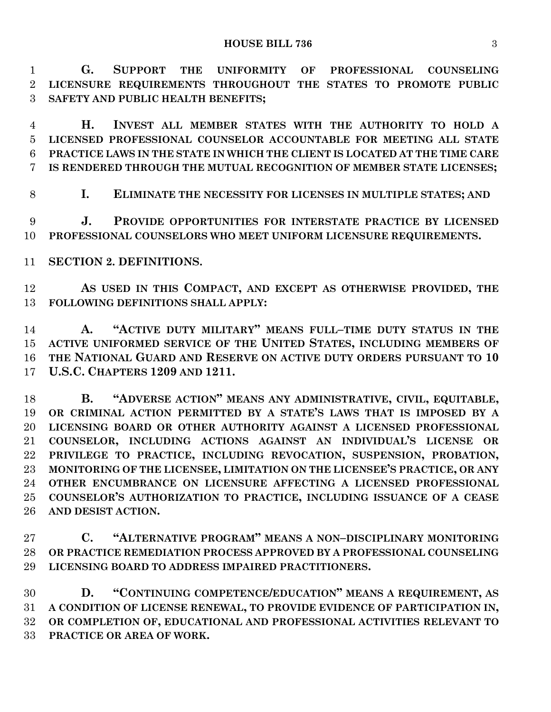**G. SUPPORT THE UNIFORMITY OF PROFESSIONAL COUNSELING LICENSURE REQUIREMENTS THROUGHOUT THE STATES TO PROMOTE PUBLIC SAFETY AND PUBLIC HEALTH BENEFITS;**

 **H. INVEST ALL MEMBER STATES WITH THE AUTHORITY TO HOLD A LICENSED PROFESSIONAL COUNSELOR ACCOUNTABLE FOR MEETING ALL STATE PRACTICE LAWS IN THE STATE IN WHICH THE CLIENT IS LOCATED AT THE TIME CARE IS RENDERED THROUGH THE MUTUAL RECOGNITION OF MEMBER STATE LICENSES;**

**I. ELIMINATE THE NECESSITY FOR LICENSES IN MULTIPLE STATES; AND**

 **J. PROVIDE OPPORTUNITIES FOR INTERSTATE PRACTICE BY LICENSED PROFESSIONAL COUNSELORS WHO MEET UNIFORM LICENSURE REQUIREMENTS.**

**SECTION 2. DEFINITIONS.**

 **AS USED IN THIS COMPACT, AND EXCEPT AS OTHERWISE PROVIDED, THE FOLLOWING DEFINITIONS SHALL APPLY:**

 **A. "ACTIVE DUTY MILITARY" MEANS FULL–TIME DUTY STATUS IN THE ACTIVE UNIFORMED SERVICE OF THE UNITED STATES, INCLUDING MEMBERS OF THE NATIONAL GUARD AND RESERVE ON ACTIVE DUTY ORDERS PURSUANT TO 10 U.S.C. CHAPTERS 1209 AND 1211.**

 **B. "ADVERSE ACTION" MEANS ANY ADMINISTRATIVE, CIVIL, EQUITABLE, OR CRIMINAL ACTION PERMITTED BY A STATE'S LAWS THAT IS IMPOSED BY A LICENSING BOARD OR OTHER AUTHORITY AGAINST A LICENSED PROFESSIONAL COUNSELOR, INCLUDING ACTIONS AGAINST AN INDIVIDUAL'S LICENSE OR PRIVILEGE TO PRACTICE, INCLUDING REVOCATION, SUSPENSION, PROBATION, MONITORING OF THE LICENSEE, LIMITATION ON THE LICENSEE'S PRACTICE, OR ANY OTHER ENCUMBRANCE ON LICENSURE AFFECTING A LICENSED PROFESSIONAL COUNSELOR'S AUTHORIZATION TO PRACTICE, INCLUDING ISSUANCE OF A CEASE AND DESIST ACTION.**

 **C. "ALTERNATIVE PROGRAM" MEANS A NON–DISCIPLINARY MONITORING OR PRACTICE REMEDIATION PROCESS APPROVED BY A PROFESSIONAL COUNSELING LICENSING BOARD TO ADDRESS IMPAIRED PRACTITIONERS.**

 **D. "CONTINUING COMPETENCE/EDUCATION" MEANS A REQUIREMENT, AS A CONDITION OF LICENSE RENEWAL, TO PROVIDE EVIDENCE OF PARTICIPATION IN, OR COMPLETION OF, EDUCATIONAL AND PROFESSIONAL ACTIVITIES RELEVANT TO PRACTICE OR AREA OF WORK.**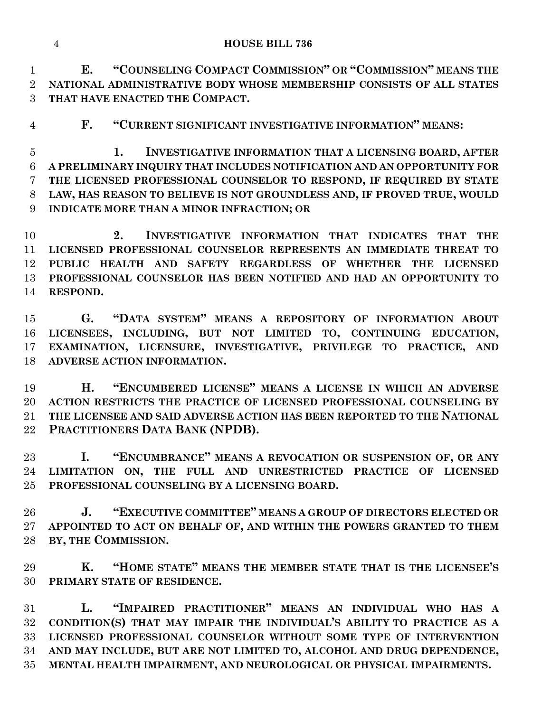**E. "COUNSELING COMPACT COMMISSION" OR "COMMISSION" MEANS THE NATIONAL ADMINISTRATIVE BODY WHOSE MEMBERSHIP CONSISTS OF ALL STATES THAT HAVE ENACTED THE COMPACT.**

**F. "CURRENT SIGNIFICANT INVESTIGATIVE INFORMATION" MEANS:**

 **1. INVESTIGATIVE INFORMATION THAT A LICENSING BOARD, AFTER A PRELIMINARY INQUIRY THAT INCLUDES NOTIFICATION AND AN OPPORTUNITY FOR THE LICENSED PROFESSIONAL COUNSELOR TO RESPOND, IF REQUIRED BY STATE LAW, HAS REASON TO BELIEVE IS NOT GROUNDLESS AND, IF PROVED TRUE, WOULD INDICATE MORE THAN A MINOR INFRACTION; OR**

 **2. INVESTIGATIVE INFORMATION THAT INDICATES THAT THE LICENSED PROFESSIONAL COUNSELOR REPRESENTS AN IMMEDIATE THREAT TO PUBLIC HEALTH AND SAFETY REGARDLESS OF WHETHER THE LICENSED PROFESSIONAL COUNSELOR HAS BEEN NOTIFIED AND HAD AN OPPORTUNITY TO RESPOND.**

 **G. "DATA SYSTEM" MEANS A REPOSITORY OF INFORMATION ABOUT LICENSEES, INCLUDING, BUT NOT LIMITED TO, CONTINUING EDUCATION, EXAMINATION, LICENSURE, INVESTIGATIVE, PRIVILEGE TO PRACTICE, AND ADVERSE ACTION INFORMATION.**

 **H. "ENCUMBERED LICENSE" MEANS A LICENSE IN WHICH AN ADVERSE ACTION RESTRICTS THE PRACTICE OF LICENSED PROFESSIONAL COUNSELING BY THE LICENSEE AND SAID ADVERSE ACTION HAS BEEN REPORTED TO THE NATIONAL PRACTITIONERS DATA BANK (NPDB).**

 **I. "ENCUMBRANCE" MEANS A REVOCATION OR SUSPENSION OF, OR ANY LIMITATION ON, THE FULL AND UNRESTRICTED PRACTICE OF LICENSED PROFESSIONAL COUNSELING BY A LICENSING BOARD.**

 **J. "EXECUTIVE COMMITTEE" MEANS A GROUP OF DIRECTORS ELECTED OR APPOINTED TO ACT ON BEHALF OF, AND WITHIN THE POWERS GRANTED TO THEM BY, THE COMMISSION.**

 **K. "HOME STATE" MEANS THE MEMBER STATE THAT IS THE LICENSEE'S PRIMARY STATE OF RESIDENCE.**

 **L. "IMPAIRED PRACTITIONER" MEANS AN INDIVIDUAL WHO HAS A CONDITION(S) THAT MAY IMPAIR THE INDIVIDUAL'S ABILITY TO PRACTICE AS A LICENSED PROFESSIONAL COUNSELOR WITHOUT SOME TYPE OF INTERVENTION AND MAY INCLUDE, BUT ARE NOT LIMITED TO, ALCOHOL AND DRUG DEPENDENCE, MENTAL HEALTH IMPAIRMENT, AND NEUROLOGICAL OR PHYSICAL IMPAIRMENTS.**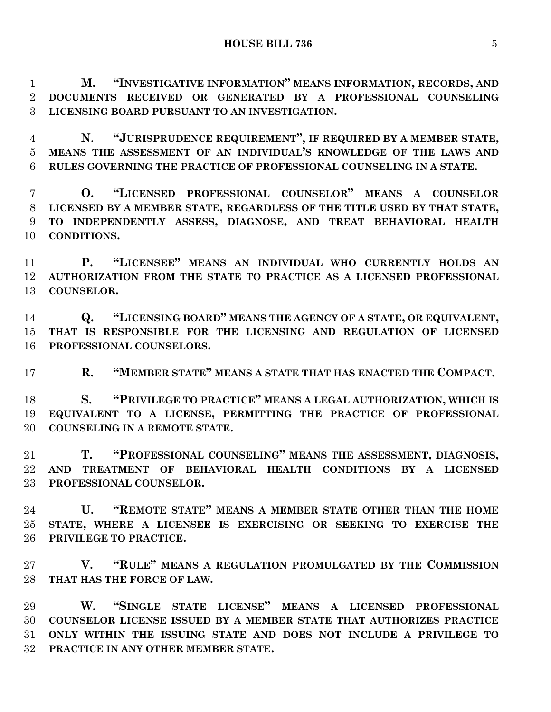**M. "INVESTIGATIVE INFORMATION" MEANS INFORMATION, RECORDS, AND DOCUMENTS RECEIVED OR GENERATED BY A PROFESSIONAL COUNSELING LICENSING BOARD PURSUANT TO AN INVESTIGATION.**

 **N. "JURISPRUDENCE REQUIREMENT", IF REQUIRED BY A MEMBER STATE, MEANS THE ASSESSMENT OF AN INDIVIDUAL'S KNOWLEDGE OF THE LAWS AND RULES GOVERNING THE PRACTICE OF PROFESSIONAL COUNSELING IN A STATE.**

 **O. "LICENSED PROFESSIONAL COUNSELOR" MEANS A COUNSELOR LICENSED BY A MEMBER STATE, REGARDLESS OF THE TITLE USED BY THAT STATE, TO INDEPENDENTLY ASSESS, DIAGNOSE, AND TREAT BEHAVIORAL HEALTH CONDITIONS.**

 **P. "LICENSEE" MEANS AN INDIVIDUAL WHO CURRENTLY HOLDS AN AUTHORIZATION FROM THE STATE TO PRACTICE AS A LICENSED PROFESSIONAL COUNSELOR.**

 **Q. "LICENSING BOARD" MEANS THE AGENCY OF A STATE, OR EQUIVALENT, THAT IS RESPONSIBLE FOR THE LICENSING AND REGULATION OF LICENSED PROFESSIONAL COUNSELORS.**

**R. "MEMBER STATE" MEANS A STATE THAT HAS ENACTED THE COMPACT.**

 **S. "PRIVILEGE TO PRACTICE" MEANS A LEGAL AUTHORIZATION, WHICH IS EQUIVALENT TO A LICENSE, PERMITTING THE PRACTICE OF PROFESSIONAL COUNSELING IN A REMOTE STATE.**

 **T. "PROFESSIONAL COUNSELING" MEANS THE ASSESSMENT, DIAGNOSIS, AND TREATMENT OF BEHAVIORAL HEALTH CONDITIONS BY A LICENSED PROFESSIONAL COUNSELOR.**

 **U. "REMOTE STATE" MEANS A MEMBER STATE OTHER THAN THE HOME STATE, WHERE A LICENSEE IS EXERCISING OR SEEKING TO EXERCISE THE PRIVILEGE TO PRACTICE.**

 **V. "RULE" MEANS A REGULATION PROMULGATED BY THE COMMISSION THAT HAS THE FORCE OF LAW.**

 **W. "SINGLE STATE LICENSE" MEANS A LICENSED PROFESSIONAL COUNSELOR LICENSE ISSUED BY A MEMBER STATE THAT AUTHORIZES PRACTICE ONLY WITHIN THE ISSUING STATE AND DOES NOT INCLUDE A PRIVILEGE TO PRACTICE IN ANY OTHER MEMBER STATE.**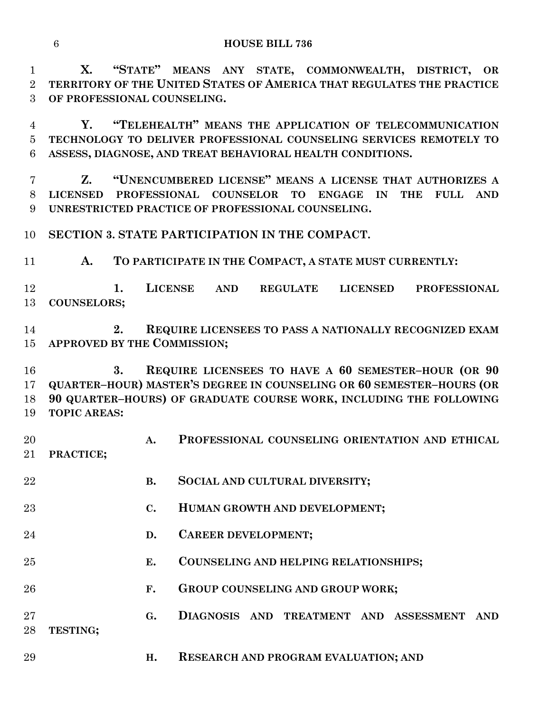**X. "STATE" MEANS ANY STATE, COMMONWEALTH, DISTRICT, OR TERRITORY OF THE UNITED STATES OF AMERICA THAT REGULATES THE PRACTICE OF PROFESSIONAL COUNSELING.**

 **Y. "TELEHEALTH" MEANS THE APPLICATION OF TELECOMMUNICATION TECHNOLOGY TO DELIVER PROFESSIONAL COUNSELING SERVICES REMOTELY TO ASSESS, DIAGNOSE, AND TREAT BEHAVIORAL HEALTH CONDITIONS.**

 **Z. "UNENCUMBERED LICENSE" MEANS A LICENSE THAT AUTHORIZES A LICENSED PROFESSIONAL COUNSELOR TO ENGAGE IN THE FULL AND UNRESTRICTED PRACTICE OF PROFESSIONAL COUNSELING.**

**SECTION 3. STATE PARTICIPATION IN THE COMPACT.**

**A. TO PARTICIPATE IN THE COMPACT, A STATE MUST CURRENTLY:**

 **1. LICENSE AND REGULATE LICENSED PROFESSIONAL COUNSELORS;**

 **2. REQUIRE LICENSEES TO PASS A NATIONALLY RECOGNIZED EXAM APPROVED BY THE COMMISSION;**

 **3. REQUIRE LICENSEES TO HAVE A 60 SEMESTER–HOUR (OR 90 QUARTER–HOUR) MASTER'S DEGREE IN COUNSELING OR 60 SEMESTER–HOURS (OR 90 QUARTER–HOURS) OF GRADUATE COURSE WORK, INCLUDING THE FOLLOWING TOPIC AREAS:**

 **A. PROFESSIONAL COUNSELING ORIENTATION AND ETHICAL PRACTICE;**

**B. SOCIAL AND CULTURAL DIVERSITY;**

- **C. HUMAN GROWTH AND DEVELOPMENT;**
- **D. CAREER DEVELOPMENT;**
- **E. COUNSELING AND HELPING RELATIONSHIPS;**
- **F. GROUP COUNSELING AND GROUP WORK;**

 **G. DIAGNOSIS AND TREATMENT AND ASSESSMENT AND TESTING;**

**H. RESEARCH AND PROGRAM EVALUATION; AND**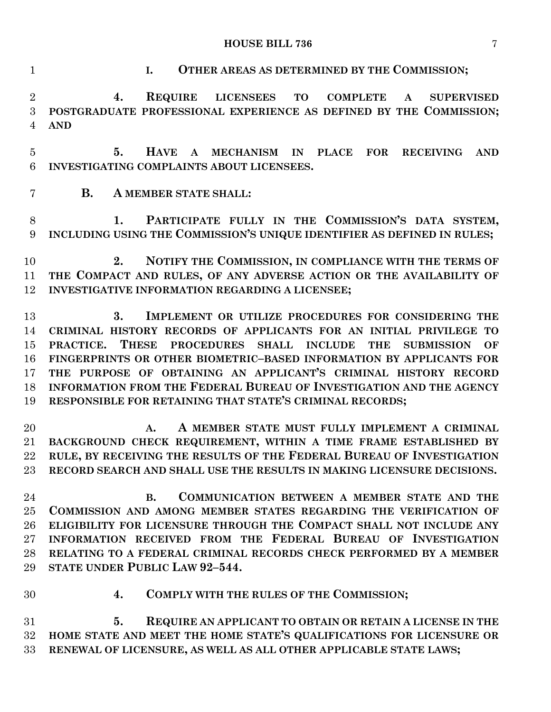**4. COMPLY WITH THE RULES OF THE COMMISSION;**

 **5. REQUIRE AN APPLICANT TO OBTAIN OR RETAIN A LICENSE IN THE HOME STATE AND MEET THE HOME STATE'S QUALIFICATIONS FOR LICENSURE OR RENEWAL OF LICENSURE, AS WELL AS ALL OTHER APPLICABLE STATE LAWS;**

**I. OTHER AREAS AS DETERMINED BY THE COMMISSION;**

 **4. REQUIRE LICENSEES TO COMPLETE A SUPERVISED POSTGRADUATE PROFESSIONAL EXPERIENCE AS DEFINED BY THE COMMISSION; AND**

 **5. HAVE A MECHANISM IN PLACE FOR RECEIVING AND INVESTIGATING COMPLAINTS ABOUT LICENSEES.**

**B. A MEMBER STATE SHALL:**

8 1. **PARTICIPATE FULLY IN THE COMMISSION'S DATA SYSTEM, INCLUDING USING THE COMMISSION'S UNIQUE IDENTIFIER AS DEFINED IN RULES;**

 **2. NOTIFY THE COMMISSION, IN COMPLIANCE WITH THE TERMS OF THE COMPACT AND RULES, OF ANY ADVERSE ACTION OR THE AVAILABILITY OF INVESTIGATIVE INFORMATION REGARDING A LICENSEE;**

 **3. IMPLEMENT OR UTILIZE PROCEDURES FOR CONSIDERING THE CRIMINAL HISTORY RECORDS OF APPLICANTS FOR AN INITIAL PRIVILEGE TO PRACTICE. THESE PROCEDURES SHALL INCLUDE THE SUBMISSION OF FINGERPRINTS OR OTHER BIOMETRIC–BASED INFORMATION BY APPLICANTS FOR THE PURPOSE OF OBTAINING AN APPLICANT'S CRIMINAL HISTORY RECORD INFORMATION FROM THE FEDERAL BUREAU OF INVESTIGATION AND THE AGENCY RESPONSIBLE FOR RETAINING THAT STATE'S CRIMINAL RECORDS;**

 **A. A MEMBER STATE MUST FULLY IMPLEMENT A CRIMINAL BACKGROUND CHECK REQUIREMENT, WITHIN A TIME FRAME ESTABLISHED BY RULE, BY RECEIVING THE RESULTS OF THE FEDERAL BUREAU OF INVESTIGATION RECORD SEARCH AND SHALL USE THE RESULTS IN MAKING LICENSURE DECISIONS.**

- **B. COMMUNICATION BETWEEN A MEMBER STATE AND THE COMMISSION AND AMONG MEMBER STATES REGARDING THE VERIFICATION OF ELIGIBILITY FOR LICENSURE THROUGH THE COMPACT SHALL NOT INCLUDE ANY INFORMATION RECEIVED FROM THE FEDERAL BUREAU OF INVESTIGATION RELATING TO A FEDERAL CRIMINAL RECORDS CHECK PERFORMED BY A MEMBER STATE UNDER PUBLIC LAW 92–544.**
-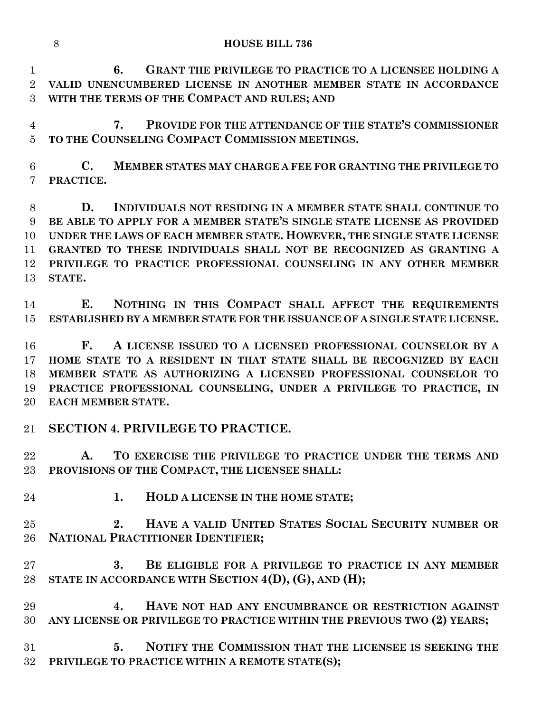| <b>HOUSE BILL 736</b> |
|-----------------------|
|                       |

 **6. GRANT THE PRIVILEGE TO PRACTICE TO A LICENSEE HOLDING A VALID UNENCUMBERED LICENSE IN ANOTHER MEMBER STATE IN ACCORDANCE WITH THE TERMS OF THE COMPACT AND RULES; AND**

 **7. PROVIDE FOR THE ATTENDANCE OF THE STATE'S COMMISSIONER TO THE COUNSELING COMPACT COMMISSION MEETINGS.**

 **C. MEMBER STATES MAY CHARGE A FEE FOR GRANTING THE PRIVILEGE TO PRACTICE.**

 **D. INDIVIDUALS NOT RESIDING IN A MEMBER STATE SHALL CONTINUE TO BE ABLE TO APPLY FOR A MEMBER STATE'S SINGLE STATE LICENSE AS PROVIDED UNDER THE LAWS OF EACH MEMBER STATE. HOWEVER, THE SINGLE STATE LICENSE GRANTED TO THESE INDIVIDUALS SHALL NOT BE RECOGNIZED AS GRANTING A PRIVILEGE TO PRACTICE PROFESSIONAL COUNSELING IN ANY OTHER MEMBER STATE.**

 **E. NOTHING IN THIS COMPACT SHALL AFFECT THE REQUIREMENTS ESTABLISHED BY A MEMBER STATE FOR THE ISSUANCE OF A SINGLE STATE LICENSE.**

 **F. A LICENSE ISSUED TO A LICENSED PROFESSIONAL COUNSELOR BY A HOME STATE TO A RESIDENT IN THAT STATE SHALL BE RECOGNIZED BY EACH MEMBER STATE AS AUTHORIZING A LICENSED PROFESSIONAL COUNSELOR TO PRACTICE PROFESSIONAL COUNSELING, UNDER A PRIVILEGE TO PRACTICE, IN EACH MEMBER STATE.**

**SECTION 4. PRIVILEGE TO PRACTICE.**

 **A. TO EXERCISE THE PRIVILEGE TO PRACTICE UNDER THE TERMS AND PROVISIONS OF THE COMPACT, THE LICENSEE SHALL:**

- 
- **1. HOLD A LICENSE IN THE HOME STATE;**

 **2. HAVE A VALID UNITED STATES SOCIAL SECURITY NUMBER OR NATIONAL PRACTITIONER IDENTIFIER;**

- **3. BE ELIGIBLE FOR A PRIVILEGE TO PRACTICE IN ANY MEMBER STATE IN ACCORDANCE WITH SECTION 4(D), (G), AND (H);**
- **4. HAVE NOT HAD ANY ENCUMBRANCE OR RESTRICTION AGAINST ANY LICENSE OR PRIVILEGE TO PRACTICE WITHIN THE PREVIOUS TWO (2) YEARS;**

 **5. NOTIFY THE COMMISSION THAT THE LICENSEE IS SEEKING THE PRIVILEGE TO PRACTICE WITHIN A REMOTE STATE(S);**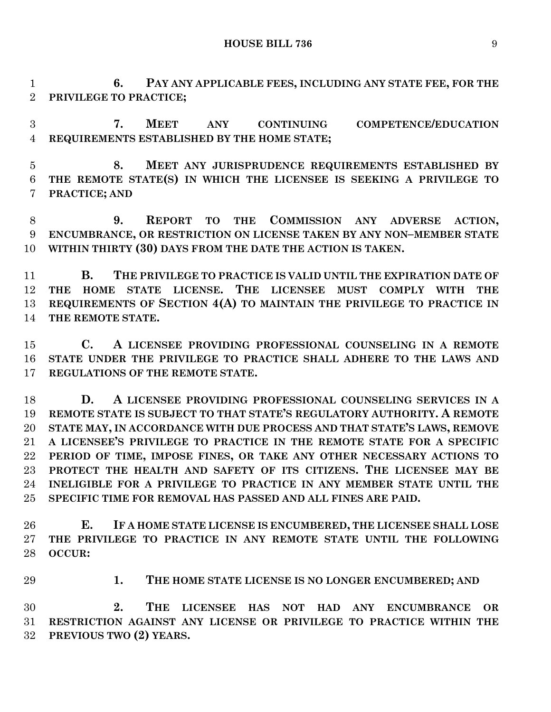**6. PAY ANY APPLICABLE FEES, INCLUDING ANY STATE FEE, FOR THE PRIVILEGE TO PRACTICE;**

 **7. MEET ANY CONTINUING COMPETENCE/EDUCATION REQUIREMENTS ESTABLISHED BY THE HOME STATE;**

 **8. MEET ANY JURISPRUDENCE REQUIREMENTS ESTABLISHED BY THE REMOTE STATE(S) IN WHICH THE LICENSEE IS SEEKING A PRIVILEGE TO PRACTICE; AND**

 **9. REPORT TO THE COMMISSION ANY ADVERSE ACTION, ENCUMBRANCE, OR RESTRICTION ON LICENSE TAKEN BY ANY NON–MEMBER STATE WITHIN THIRTY (30) DAYS FROM THE DATE THE ACTION IS TAKEN.**

 **B. THE PRIVILEGE TO PRACTICE IS VALID UNTIL THE EXPIRATION DATE OF THE HOME STATE LICENSE. THE LICENSEE MUST COMPLY WITH THE REQUIREMENTS OF SECTION 4(A) TO MAINTAIN THE PRIVILEGE TO PRACTICE IN THE REMOTE STATE.**

 **C. A LICENSEE PROVIDING PROFESSIONAL COUNSELING IN A REMOTE STATE UNDER THE PRIVILEGE TO PRACTICE SHALL ADHERE TO THE LAWS AND REGULATIONS OF THE REMOTE STATE.**

 **D. A LICENSEE PROVIDING PROFESSIONAL COUNSELING SERVICES IN A REMOTE STATE IS SUBJECT TO THAT STATE'S REGULATORY AUTHORITY. A REMOTE STATE MAY, IN ACCORDANCE WITH DUE PROCESS AND THAT STATE'S LAWS, REMOVE A LICENSEE'S PRIVILEGE TO PRACTICE IN THE REMOTE STATE FOR A SPECIFIC PERIOD OF TIME, IMPOSE FINES, OR TAKE ANY OTHER NECESSARY ACTIONS TO PROTECT THE HEALTH AND SAFETY OF ITS CITIZENS. THE LICENSEE MAY BE INELIGIBLE FOR A PRIVILEGE TO PRACTICE IN ANY MEMBER STATE UNTIL THE SPECIFIC TIME FOR REMOVAL HAS PASSED AND ALL FINES ARE PAID.**

 **E. IF A HOME STATE LICENSE IS ENCUMBERED, THE LICENSEE SHALL LOSE THE PRIVILEGE TO PRACTICE IN ANY REMOTE STATE UNTIL THE FOLLOWING OCCUR:**

**1. THE HOME STATE LICENSE IS NO LONGER ENCUMBERED; AND** 

 **2. THE LICENSEE HAS NOT HAD ANY ENCUMBRANCE OR RESTRICTION AGAINST ANY LICENSE OR PRIVILEGE TO PRACTICE WITHIN THE PREVIOUS TWO (2) YEARS.**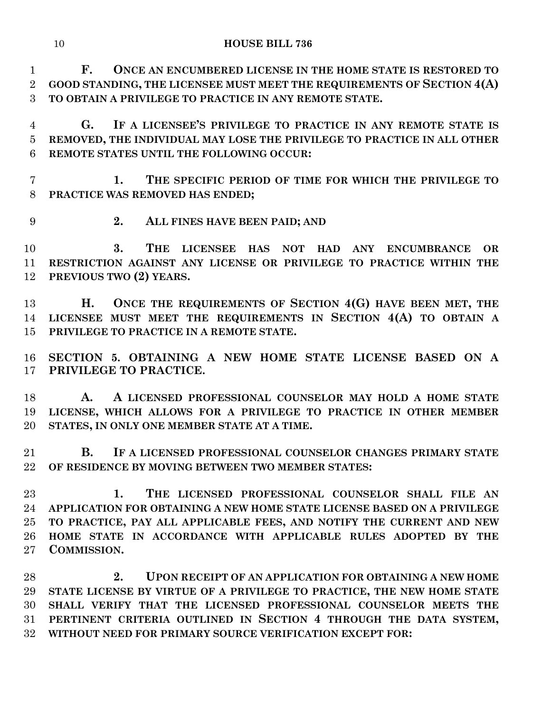**F. ONCE AN ENCUMBERED LICENSE IN THE HOME STATE IS RESTORED TO GOOD STANDING, THE LICENSEE MUST MEET THE REQUIREMENTS OF SECTION 4(A) TO OBTAIN A PRIVILEGE TO PRACTICE IN ANY REMOTE STATE.**

 **G. IF A LICENSEE'S PRIVILEGE TO PRACTICE IN ANY REMOTE STATE IS REMOVED, THE INDIVIDUAL MAY LOSE THE PRIVILEGE TO PRACTICE IN ALL OTHER REMOTE STATES UNTIL THE FOLLOWING OCCUR:**

 **1. THE SPECIFIC PERIOD OF TIME FOR WHICH THE PRIVILEGE TO PRACTICE WAS REMOVED HAS ENDED;**

- 
- **2. ALL FINES HAVE BEEN PAID; AND**

 **3. THE LICENSEE HAS NOT HAD ANY ENCUMBRANCE OR RESTRICTION AGAINST ANY LICENSE OR PRIVILEGE TO PRACTICE WITHIN THE PREVIOUS TWO (2) YEARS.**

 **H. ONCE THE REQUIREMENTS OF SECTION 4(G) HAVE BEEN MET, THE LICENSEE MUST MEET THE REQUIREMENTS IN SECTION 4(A) TO OBTAIN A PRIVILEGE TO PRACTICE IN A REMOTE STATE.**

 **SECTION 5. OBTAINING A NEW HOME STATE LICENSE BASED ON A PRIVILEGE TO PRACTICE.** 

 **A. A LICENSED PROFESSIONAL COUNSELOR MAY HOLD A HOME STATE LICENSE, WHICH ALLOWS FOR A PRIVILEGE TO PRACTICE IN OTHER MEMBER STATES, IN ONLY ONE MEMBER STATE AT A TIME.**

 **B. IF A LICENSED PROFESSIONAL COUNSELOR CHANGES PRIMARY STATE OF RESIDENCE BY MOVING BETWEEN TWO MEMBER STATES:**

 **1. THE LICENSED PROFESSIONAL COUNSELOR SHALL FILE AN APPLICATION FOR OBTAINING A NEW HOME STATE LICENSE BASED ON A PRIVILEGE TO PRACTICE, PAY ALL APPLICABLE FEES, AND NOTIFY THE CURRENT AND NEW HOME STATE IN ACCORDANCE WITH APPLICABLE RULES ADOPTED BY THE COMMISSION.**

 **2. UPON RECEIPT OF AN APPLICATION FOR OBTAINING A NEW HOME STATE LICENSE BY VIRTUE OF A PRIVILEGE TO PRACTICE, THE NEW HOME STATE SHALL VERIFY THAT THE LICENSED PROFESSIONAL COUNSELOR MEETS THE PERTINENT CRITERIA OUTLINED IN SECTION 4 THROUGH THE DATA SYSTEM, WITHOUT NEED FOR PRIMARY SOURCE VERIFICATION EXCEPT FOR:**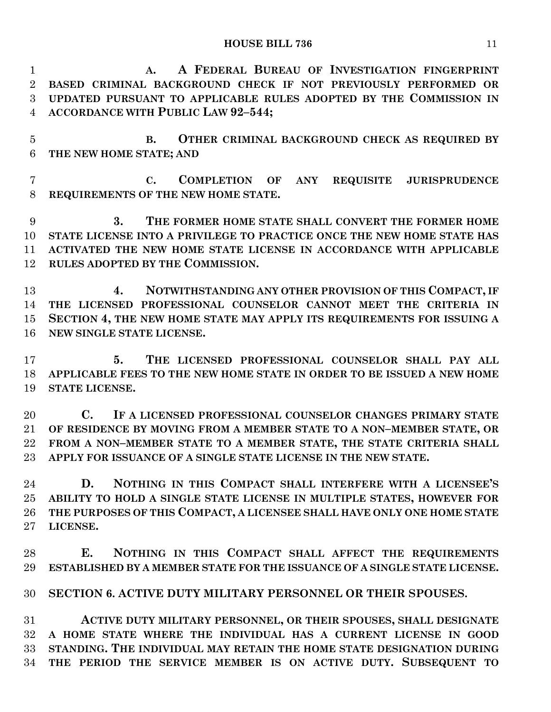**A. A FEDERAL BUREAU OF INVESTIGATION FINGERPRINT BASED CRIMINAL BACKGROUND CHECK IF NOT PREVIOUSLY PERFORMED OR UPDATED PURSUANT TO APPLICABLE RULES ADOPTED BY THE COMMISSION IN ACCORDANCE WITH PUBLIC LAW 92–544;**

 **B. OTHER CRIMINAL BACKGROUND CHECK AS REQUIRED BY THE NEW HOME STATE; AND**

 **C. COMPLETION OF ANY REQUISITE JURISPRUDENCE REQUIREMENTS OF THE NEW HOME STATE.**

 **3. THE FORMER HOME STATE SHALL CONVERT THE FORMER HOME STATE LICENSE INTO A PRIVILEGE TO PRACTICE ONCE THE NEW HOME STATE HAS ACTIVATED THE NEW HOME STATE LICENSE IN ACCORDANCE WITH APPLICABLE RULES ADOPTED BY THE COMMISSION.**

 **4. NOTWITHSTANDING ANY OTHER PROVISION OF THIS COMPACT, IF THE LICENSED PROFESSIONAL COUNSELOR CANNOT MEET THE CRITERIA IN SECTION 4, THE NEW HOME STATE MAY APPLY ITS REQUIREMENTS FOR ISSUING A NEW SINGLE STATE LICENSE.**

 **5. THE LICENSED PROFESSIONAL COUNSELOR SHALL PAY ALL APPLICABLE FEES TO THE NEW HOME STATE IN ORDER TO BE ISSUED A NEW HOME STATE LICENSE.**

 **C. IF A LICENSED PROFESSIONAL COUNSELOR CHANGES PRIMARY STATE OF RESIDENCE BY MOVING FROM A MEMBER STATE TO A NON–MEMBER STATE, OR FROM A NON–MEMBER STATE TO A MEMBER STATE, THE STATE CRITERIA SHALL APPLY FOR ISSUANCE OF A SINGLE STATE LICENSE IN THE NEW STATE.**

 **D. NOTHING IN THIS COMPACT SHALL INTERFERE WITH A LICENSEE'S ABILITY TO HOLD A SINGLE STATE LICENSE IN MULTIPLE STATES, HOWEVER FOR THE PURPOSES OF THIS COMPACT, A LICENSEE SHALL HAVE ONLY ONE HOME STATE LICENSE.**

 **E. NOTHING IN THIS COMPACT SHALL AFFECT THE REQUIREMENTS ESTABLISHED BY A MEMBER STATE FOR THE ISSUANCE OF A SINGLE STATE LICENSE.**

**SECTION 6. ACTIVE DUTY MILITARY PERSONNEL OR THEIR SPOUSES.**

 **ACTIVE DUTY MILITARY PERSONNEL, OR THEIR SPOUSES, SHALL DESIGNATE A HOME STATE WHERE THE INDIVIDUAL HAS A CURRENT LICENSE IN GOOD STANDING. THE INDIVIDUAL MAY RETAIN THE HOME STATE DESIGNATION DURING THE PERIOD THE SERVICE MEMBER IS ON ACTIVE DUTY. SUBSEQUENT TO**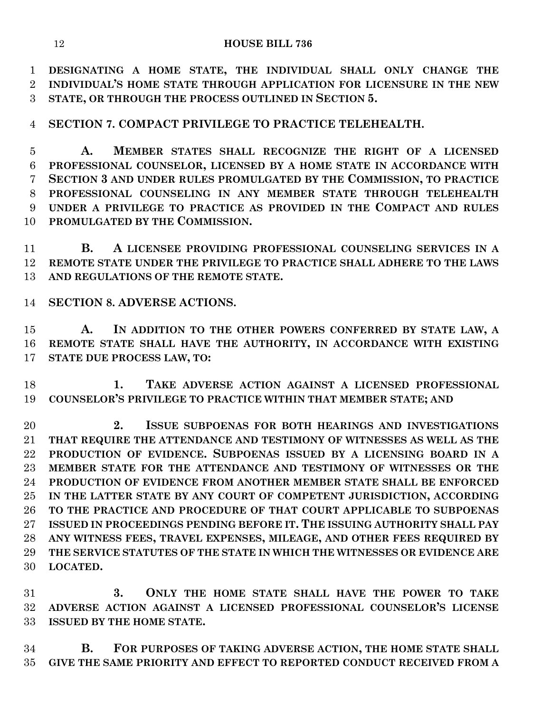**DESIGNATING A HOME STATE, THE INDIVIDUAL SHALL ONLY CHANGE THE INDIVIDUAL'S HOME STATE THROUGH APPLICATION FOR LICENSURE IN THE NEW STATE, OR THROUGH THE PROCESS OUTLINED IN SECTION 5.**

**SECTION 7. COMPACT PRIVILEGE TO PRACTICE TELEHEALTH.**

 **A. MEMBER STATES SHALL RECOGNIZE THE RIGHT OF A LICENSED PROFESSIONAL COUNSELOR, LICENSED BY A HOME STATE IN ACCORDANCE WITH SECTION 3 AND UNDER RULES PROMULGATED BY THE COMMISSION, TO PRACTICE PROFESSIONAL COUNSELING IN ANY MEMBER STATE THROUGH TELEHEALTH UNDER A PRIVILEGE TO PRACTICE AS PROVIDED IN THE COMPACT AND RULES PROMULGATED BY THE COMMISSION.**

 **B. A LICENSEE PROVIDING PROFESSIONAL COUNSELING SERVICES IN A REMOTE STATE UNDER THE PRIVILEGE TO PRACTICE SHALL ADHERE TO THE LAWS AND REGULATIONS OF THE REMOTE STATE.**

**SECTION 8. ADVERSE ACTIONS.**

 **A. IN ADDITION TO THE OTHER POWERS CONFERRED BY STATE LAW, A REMOTE STATE SHALL HAVE THE AUTHORITY, IN ACCORDANCE WITH EXISTING STATE DUE PROCESS LAW, TO:**

 **1. TAKE ADVERSE ACTION AGAINST A LICENSED PROFESSIONAL COUNSELOR'S PRIVILEGE TO PRACTICE WITHIN THAT MEMBER STATE; AND**

 **2. ISSUE SUBPOENAS FOR BOTH HEARINGS AND INVESTIGATIONS THAT REQUIRE THE ATTENDANCE AND TESTIMONY OF WITNESSES AS WELL AS THE PRODUCTION OF EVIDENCE. SUBPOENAS ISSUED BY A LICENSING BOARD IN A MEMBER STATE FOR THE ATTENDANCE AND TESTIMONY OF WITNESSES OR THE PRODUCTION OF EVIDENCE FROM ANOTHER MEMBER STATE SHALL BE ENFORCED IN THE LATTER STATE BY ANY COURT OF COMPETENT JURISDICTION, ACCORDING TO THE PRACTICE AND PROCEDURE OF THAT COURT APPLICABLE TO SUBPOENAS ISSUED IN PROCEEDINGS PENDING BEFORE IT. THE ISSUING AUTHORITY SHALL PAY ANY WITNESS FEES, TRAVEL EXPENSES, MILEAGE, AND OTHER FEES REQUIRED BY THE SERVICE STATUTES OF THE STATE IN WHICH THE WITNESSES OR EVIDENCE ARE LOCATED.**

 **3. ONLY THE HOME STATE SHALL HAVE THE POWER TO TAKE ADVERSE ACTION AGAINST A LICENSED PROFESSIONAL COUNSELOR'S LICENSE ISSUED BY THE HOME STATE.**

 **B. FOR PURPOSES OF TAKING ADVERSE ACTION, THE HOME STATE SHALL GIVE THE SAME PRIORITY AND EFFECT TO REPORTED CONDUCT RECEIVED FROM A**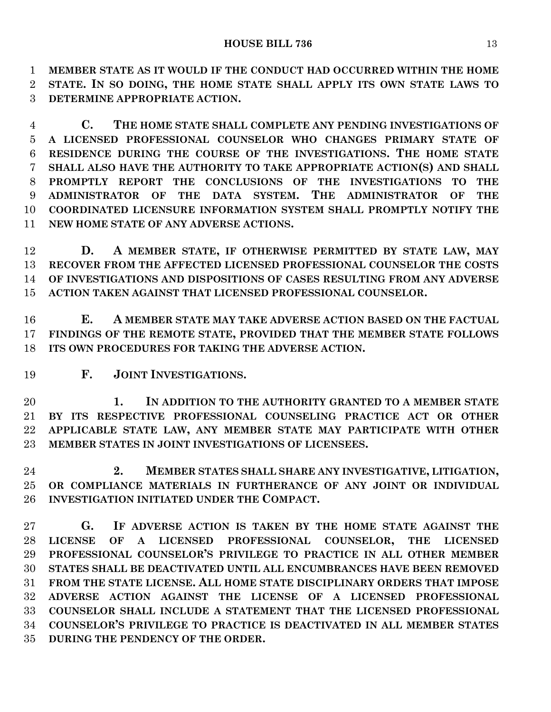**MEMBER STATE AS IT WOULD IF THE CONDUCT HAD OCCURRED WITHIN THE HOME STATE. IN SO DOING, THE HOME STATE SHALL APPLY ITS OWN STATE LAWS TO DETERMINE APPROPRIATE ACTION.**

 **C. THE HOME STATE SHALL COMPLETE ANY PENDING INVESTIGATIONS OF A LICENSED PROFESSIONAL COUNSELOR WHO CHANGES PRIMARY STATE OF RESIDENCE DURING THE COURSE OF THE INVESTIGATIONS. THE HOME STATE SHALL ALSO HAVE THE AUTHORITY TO TAKE APPROPRIATE ACTION(S) AND SHALL PROMPTLY REPORT THE CONCLUSIONS OF THE INVESTIGATIONS TO THE ADMINISTRATOR OF THE DATA SYSTEM. THE ADMINISTRATOR OF THE COORDINATED LICENSURE INFORMATION SYSTEM SHALL PROMPTLY NOTIFY THE NEW HOME STATE OF ANY ADVERSE ACTIONS.**

 **D. A MEMBER STATE, IF OTHERWISE PERMITTED BY STATE LAW, MAY RECOVER FROM THE AFFECTED LICENSED PROFESSIONAL COUNSELOR THE COSTS OF INVESTIGATIONS AND DISPOSITIONS OF CASES RESULTING FROM ANY ADVERSE ACTION TAKEN AGAINST THAT LICENSED PROFESSIONAL COUNSELOR.**

 **E. A MEMBER STATE MAY TAKE ADVERSE ACTION BASED ON THE FACTUAL FINDINGS OF THE REMOTE STATE, PROVIDED THAT THE MEMBER STATE FOLLOWS ITS OWN PROCEDURES FOR TAKING THE ADVERSE ACTION.**

**F. JOINT INVESTIGATIONS.**

 **1. IN ADDITION TO THE AUTHORITY GRANTED TO A MEMBER STATE BY ITS RESPECTIVE PROFESSIONAL COUNSELING PRACTICE ACT OR OTHER APPLICABLE STATE LAW, ANY MEMBER STATE MAY PARTICIPATE WITH OTHER MEMBER STATES IN JOINT INVESTIGATIONS OF LICENSEES.**

 **2. MEMBER STATES SHALL SHARE ANY INVESTIGATIVE, LITIGATION, OR COMPLIANCE MATERIALS IN FURTHERANCE OF ANY JOINT OR INDIVIDUAL INVESTIGATION INITIATED UNDER THE COMPACT.**

 **G. IF ADVERSE ACTION IS TAKEN BY THE HOME STATE AGAINST THE LICENSE OF A LICENSED PROFESSIONAL COUNSELOR, THE LICENSED PROFESSIONAL COUNSELOR'S PRIVILEGE TO PRACTICE IN ALL OTHER MEMBER STATES SHALL BE DEACTIVATED UNTIL ALL ENCUMBRANCES HAVE BEEN REMOVED FROM THE STATE LICENSE. ALL HOME STATE DISCIPLINARY ORDERS THAT IMPOSE ADVERSE ACTION AGAINST THE LICENSE OF A LICENSED PROFESSIONAL COUNSELOR SHALL INCLUDE A STATEMENT THAT THE LICENSED PROFESSIONAL COUNSELOR'S PRIVILEGE TO PRACTICE IS DEACTIVATED IN ALL MEMBER STATES DURING THE PENDENCY OF THE ORDER.**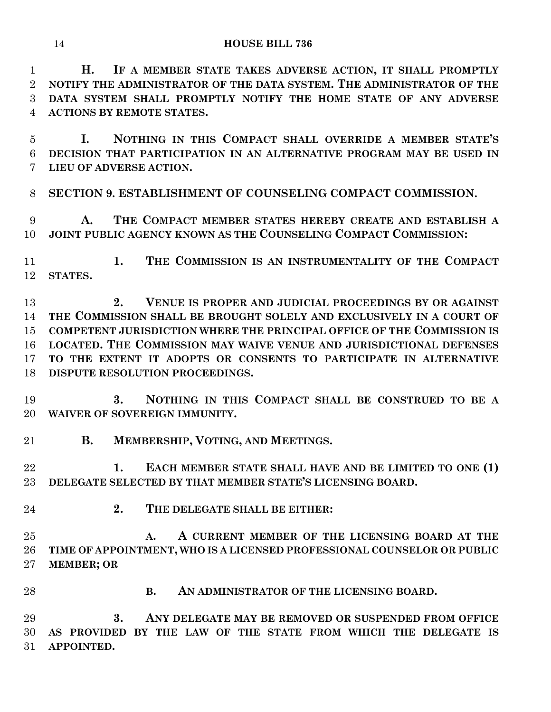**H. IF A MEMBER STATE TAKES ADVERSE ACTION, IT SHALL PROMPTLY NOTIFY THE ADMINISTRATOR OF THE DATA SYSTEM. THE ADMINISTRATOR OF THE DATA SYSTEM SHALL PROMPTLY NOTIFY THE HOME STATE OF ANY ADVERSE ACTIONS BY REMOTE STATES.**

 **I. NOTHING IN THIS COMPACT SHALL OVERRIDE A MEMBER STATE'S DECISION THAT PARTICIPATION IN AN ALTERNATIVE PROGRAM MAY BE USED IN LIEU OF ADVERSE ACTION.**

**SECTION 9. ESTABLISHMENT OF COUNSELING COMPACT COMMISSION.**

 **A. THE COMPACT MEMBER STATES HEREBY CREATE AND ESTABLISH A JOINT PUBLIC AGENCY KNOWN AS THE COUNSELING COMPACT COMMISSION:**

 **1. THE COMMISSION IS AN INSTRUMENTALITY OF THE COMPACT STATES.**

 **2. VENUE IS PROPER AND JUDICIAL PROCEEDINGS BY OR AGAINST THE COMMISSION SHALL BE BROUGHT SOLELY AND EXCLUSIVELY IN A COURT OF COMPETENT JURISDICTION WHERE THE PRINCIPAL OFFICE OF THE COMMISSION IS LOCATED. THE COMMISSION MAY WAIVE VENUE AND JURISDICTIONAL DEFENSES TO THE EXTENT IT ADOPTS OR CONSENTS TO PARTICIPATE IN ALTERNATIVE DISPUTE RESOLUTION PROCEEDINGS.**

 **3. NOTHING IN THIS COMPACT SHALL BE CONSTRUED TO BE A WAIVER OF SOVEREIGN IMMUNITY.**

**B. MEMBERSHIP, VOTING, AND MEETINGS.**

 **1. EACH MEMBER STATE SHALL HAVE AND BE LIMITED TO ONE (1) DELEGATE SELECTED BY THAT MEMBER STATE'S LICENSING BOARD.**

**2. THE DELEGATE SHALL BE EITHER:**

 **A. A CURRENT MEMBER OF THE LICENSING BOARD AT THE TIME OF APPOINTMENT, WHO IS A LICENSED PROFESSIONAL COUNSELOR OR PUBLIC MEMBER; OR**

**B. AN ADMINISTRATOR OF THE LICENSING BOARD.**

 **3. ANY DELEGATE MAY BE REMOVED OR SUSPENDED FROM OFFICE AS PROVIDED BY THE LAW OF THE STATE FROM WHICH THE DELEGATE IS APPOINTED.**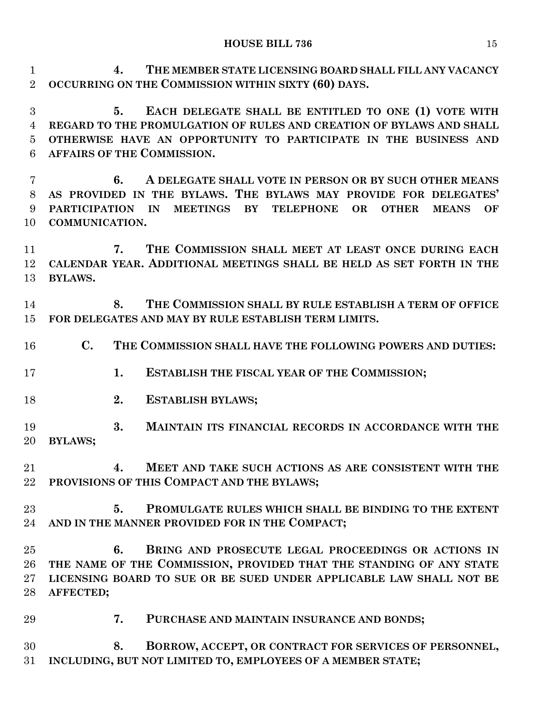**4. THE MEMBER STATE LICENSING BOARD SHALL FILL ANY VACANCY OCCURRING ON THE COMMISSION WITHIN SIXTY (60) DAYS.**

 **5. EACH DELEGATE SHALL BE ENTITLED TO ONE (1) VOTE WITH REGARD TO THE PROMULGATION OF RULES AND CREATION OF BYLAWS AND SHALL OTHERWISE HAVE AN OPPORTUNITY TO PARTICIPATE IN THE BUSINESS AND AFFAIRS OF THE COMMISSION.**

 **6. A DELEGATE SHALL VOTE IN PERSON OR BY SUCH OTHER MEANS AS PROVIDED IN THE BYLAWS. THE BYLAWS MAY PROVIDE FOR DELEGATES' PARTICIPATION IN MEETINGS BY TELEPHONE OR OTHER MEANS OF COMMUNICATION.**

 **7. THE COMMISSION SHALL MEET AT LEAST ONCE DURING EACH CALENDAR YEAR. ADDITIONAL MEETINGS SHALL BE HELD AS SET FORTH IN THE BYLAWS.**

 **8. THE COMMISSION SHALL BY RULE ESTABLISH A TERM OF OFFICE FOR DELEGATES AND MAY BY RULE ESTABLISH TERM LIMITS.**

- **C. THE COMMISSION SHALL HAVE THE FOLLOWING POWERS AND DUTIES:**
- **1. ESTABLISH THE FISCAL YEAR OF THE COMMISSION;**
- **2. ESTABLISH BYLAWS;**
- **3. MAINTAIN ITS FINANCIAL RECORDS IN ACCORDANCE WITH THE BYLAWS;**
- **4. MEET AND TAKE SUCH ACTIONS AS ARE CONSISTENT WITH THE PROVISIONS OF THIS COMPACT AND THE BYLAWS;**
- **5. PROMULGATE RULES WHICH SHALL BE BINDING TO THE EXTENT AND IN THE MANNER PROVIDED FOR IN THE COMPACT;**
- **6. BRING AND PROSECUTE LEGAL PROCEEDINGS OR ACTIONS IN THE NAME OF THE COMMISSION, PROVIDED THAT THE STANDING OF ANY STATE LICENSING BOARD TO SUE OR BE SUED UNDER APPLICABLE LAW SHALL NOT BE AFFECTED;**
- **7. PURCHASE AND MAINTAIN INSURANCE AND BONDS;**

 **8. BORROW, ACCEPT, OR CONTRACT FOR SERVICES OF PERSONNEL, INCLUDING, BUT NOT LIMITED TO, EMPLOYEES OF A MEMBER STATE;**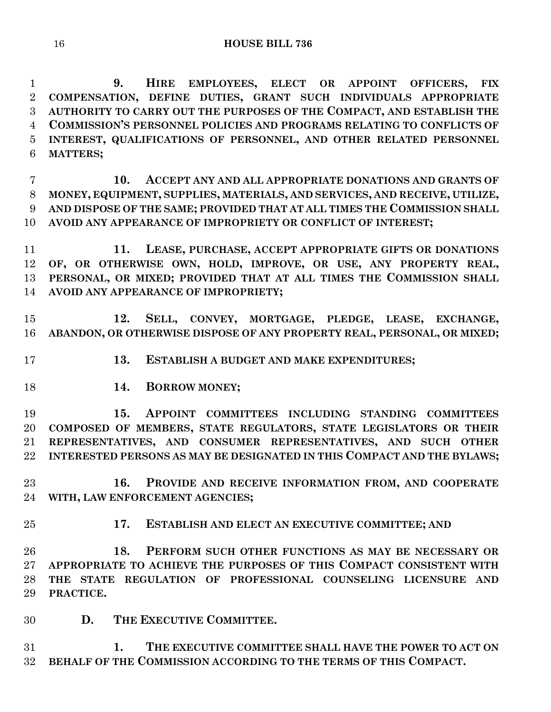**9. HIRE EMPLOYEES, ELECT OR APPOINT OFFICERS, FIX COMPENSATION, DEFINE DUTIES, GRANT SUCH INDIVIDUALS APPROPRIATE AUTHORITY TO CARRY OUT THE PURPOSES OF THE COMPACT, AND ESTABLISH THE COMMISSION'S PERSONNEL POLICIES AND PROGRAMS RELATING TO CONFLICTS OF INTEREST, QUALIFICATIONS OF PERSONNEL, AND OTHER RELATED PERSONNEL MATTERS;**

 **10. ACCEPT ANY AND ALL APPROPRIATE DONATIONS AND GRANTS OF MONEY, EQUIPMENT, SUPPLIES, MATERIALS, AND SERVICES, AND RECEIVE, UTILIZE, AND DISPOSE OF THE SAME; PROVIDED THAT AT ALL TIMES THE COMMISSION SHALL AVOID ANY APPEARANCE OF IMPROPRIETY OR CONFLICT OF INTEREST;**

 **11. LEASE, PURCHASE, ACCEPT APPROPRIATE GIFTS OR DONATIONS OF, OR OTHERWISE OWN, HOLD, IMPROVE, OR USE, ANY PROPERTY REAL, PERSONAL, OR MIXED; PROVIDED THAT AT ALL TIMES THE COMMISSION SHALL AVOID ANY APPEARANCE OF IMPROPRIETY;**

 **12. SELL, CONVEY, MORTGAGE, PLEDGE, LEASE, EXCHANGE, ABANDON, OR OTHERWISE DISPOSE OF ANY PROPERTY REAL, PERSONAL, OR MIXED;**

- **13. ESTABLISH A BUDGET AND MAKE EXPENDITURES;**
- 
- **14. BORROW MONEY;**

 **15. APPOINT COMMITTEES INCLUDING STANDING COMMITTEES COMPOSED OF MEMBERS, STATE REGULATORS, STATE LEGISLATORS OR THEIR REPRESENTATIVES, AND CONSUMER REPRESENTATIVES, AND SUCH OTHER INTERESTED PERSONS AS MAY BE DESIGNATED IN THIS COMPACT AND THE BYLAWS;**

 **16. PROVIDE AND RECEIVE INFORMATION FROM, AND COOPERATE WITH, LAW ENFORCEMENT AGENCIES;**

- 
- **17. ESTABLISH AND ELECT AN EXECUTIVE COMMITTEE; AND**

 **18. PERFORM SUCH OTHER FUNCTIONS AS MAY BE NECESSARY OR APPROPRIATE TO ACHIEVE THE PURPOSES OF THIS COMPACT CONSISTENT WITH THE STATE REGULATION OF PROFESSIONAL COUNSELING LICENSURE AND PRACTICE.**

**D. THE EXECUTIVE COMMITTEE.**

 **1. THE EXECUTIVE COMMITTEE SHALL HAVE THE POWER TO ACT ON BEHALF OF THE COMMISSION ACCORDING TO THE TERMS OF THIS COMPACT.**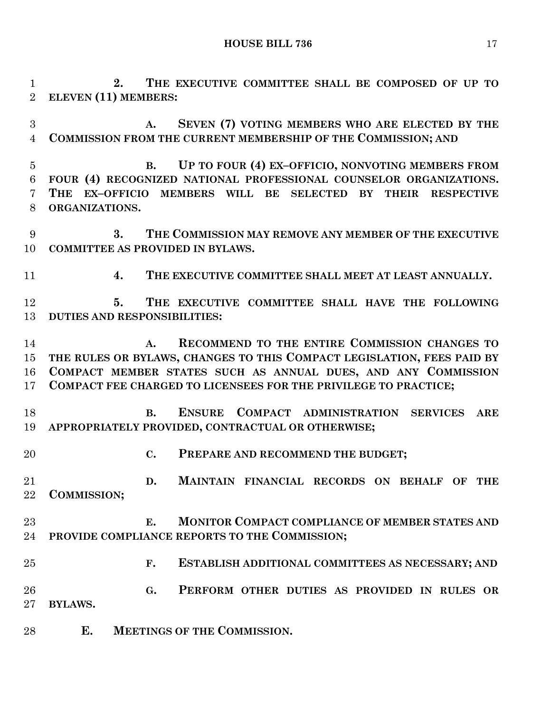**2. THE EXECUTIVE COMMITTEE SHALL BE COMPOSED OF UP TO ELEVEN (11) MEMBERS:**

 **A. SEVEN (7) VOTING MEMBERS WHO ARE ELECTED BY THE COMMISSION FROM THE CURRENT MEMBERSHIP OF THE COMMISSION; AND**

- **B. UP TO FOUR (4) EX–OFFICIO, NONVOTING MEMBERS FROM FOUR (4) RECOGNIZED NATIONAL PROFESSIONAL COUNSELOR ORGANIZATIONS. THE EX–OFFICIO MEMBERS WILL BE SELECTED BY THEIR RESPECTIVE ORGANIZATIONS.**
- **3. THE COMMISSION MAY REMOVE ANY MEMBER OF THE EXECUTIVE COMMITTEE AS PROVIDED IN BYLAWS.**
- **4. THE EXECUTIVE COMMITTEE SHALL MEET AT LEAST ANNUALLY.**

 **5. THE EXECUTIVE COMMITTEE SHALL HAVE THE FOLLOWING DUTIES AND RESPONSIBILITIES:**

 **A. RECOMMEND TO THE ENTIRE COMMISSION CHANGES TO THE RULES OR BYLAWS, CHANGES TO THIS COMPACT LEGISLATION, FEES PAID BY COMPACT MEMBER STATES SUCH AS ANNUAL DUES, AND ANY COMMISSION COMPACT FEE CHARGED TO LICENSEES FOR THE PRIVILEGE TO PRACTICE;**

 **B. ENSURE COMPACT ADMINISTRATION SERVICES ARE APPROPRIATELY PROVIDED, CONTRACTUAL OR OTHERWISE;**

**C. PREPARE AND RECOMMEND THE BUDGET;**

 **D. MAINTAIN FINANCIAL RECORDS ON BEHALF OF THE COMMISSION;**

## **E. MONITOR COMPACT COMPLIANCE OF MEMBER STATES AND PROVIDE COMPLIANCE REPORTS TO THE COMMISSION;**

- **F. ESTABLISH ADDITIONAL COMMITTEES AS NECESSARY; AND**
- **G. PERFORM OTHER DUTIES AS PROVIDED IN RULES OR BYLAWS.**
- **E. MEETINGS OF THE COMMISSION.**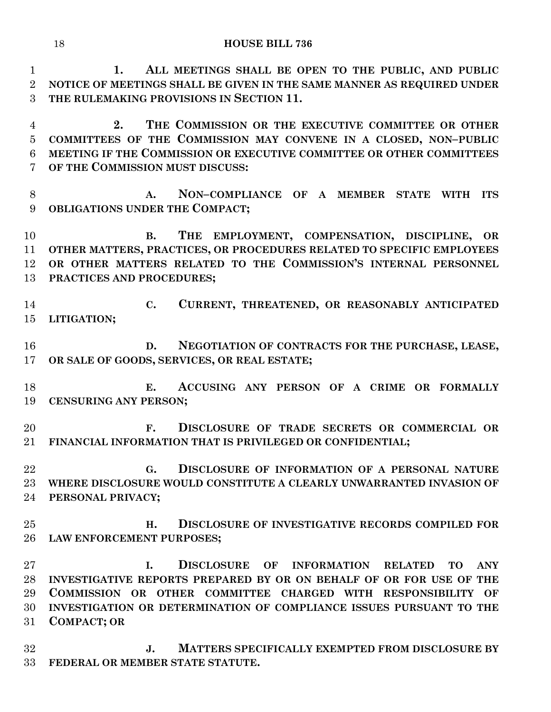**1. ALL MEETINGS SHALL BE OPEN TO THE PUBLIC, AND PUBLIC NOTICE OF MEETINGS SHALL BE GIVEN IN THE SAME MANNER AS REQUIRED UNDER THE RULEMAKING PROVISIONS IN SECTION 11.**

 **2. THE COMMISSION OR THE EXECUTIVE COMMITTEE OR OTHER COMMITTEES OF THE COMMISSION MAY CONVENE IN A CLOSED, NON–PUBLIC MEETING IF THE COMMISSION OR EXECUTIVE COMMITTEE OR OTHER COMMITTEES OF THE COMMISSION MUST DISCUSS:**

 **A. NON–COMPLIANCE OF A MEMBER STATE WITH ITS OBLIGATIONS UNDER THE COMPACT;**

 **B. THE EMPLOYMENT, COMPENSATION, DISCIPLINE, OR OTHER MATTERS, PRACTICES, OR PROCEDURES RELATED TO SPECIFIC EMPLOYEES OR OTHER MATTERS RELATED TO THE COMMISSION'S INTERNAL PERSONNEL PRACTICES AND PROCEDURES;**

- **C. CURRENT, THREATENED, OR REASONABLY ANTICIPATED LITIGATION;**
- **D. NEGOTIATION OF CONTRACTS FOR THE PURCHASE, LEASE, OR SALE OF GOODS, SERVICES, OR REAL ESTATE;**
- **E. ACCUSING ANY PERSON OF A CRIME OR FORMALLY CENSURING ANY PERSON;**
- **F. DISCLOSURE OF TRADE SECRETS OR COMMERCIAL OR FINANCIAL INFORMATION THAT IS PRIVILEGED OR CONFIDENTIAL;**
- **G. DISCLOSURE OF INFORMATION OF A PERSONAL NATURE WHERE DISCLOSURE WOULD CONSTITUTE A CLEARLY UNWARRANTED INVASION OF PERSONAL PRIVACY;**
- **H. DISCLOSURE OF INVESTIGATIVE RECORDS COMPILED FOR LAW ENFORCEMENT PURPOSES;**

 **I. DISCLOSURE OF INFORMATION RELATED TO ANY INVESTIGATIVE REPORTS PREPARED BY OR ON BEHALF OF OR FOR USE OF THE COMMISSION OR OTHER COMMITTEE CHARGED WITH RESPONSIBILITY OF INVESTIGATION OR DETERMINATION OF COMPLIANCE ISSUES PURSUANT TO THE COMPACT; OR**

 **J. MATTERS SPECIFICALLY EXEMPTED FROM DISCLOSURE BY FEDERAL OR MEMBER STATE STATUTE.**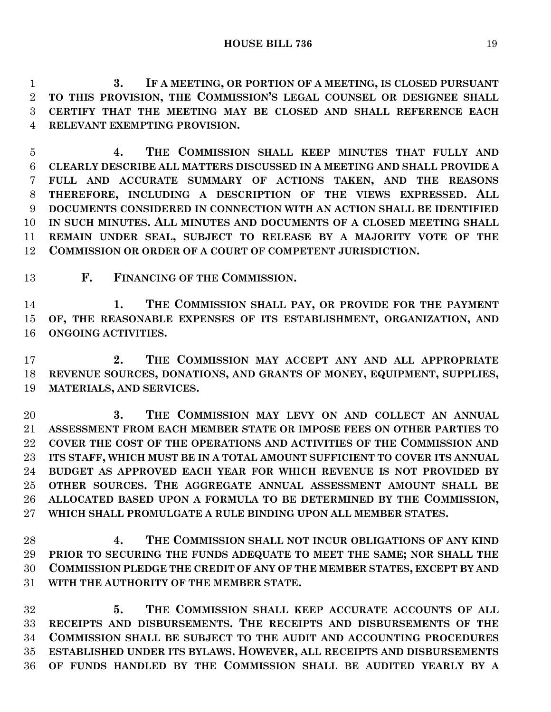**3. IF A MEETING, OR PORTION OF A MEETING, IS CLOSED PURSUANT TO THIS PROVISION, THE COMMISSION'S LEGAL COUNSEL OR DESIGNEE SHALL CERTIFY THAT THE MEETING MAY BE CLOSED AND SHALL REFERENCE EACH RELEVANT EXEMPTING PROVISION.**

 **4. THE COMMISSION SHALL KEEP MINUTES THAT FULLY AND CLEARLY DESCRIBE ALL MATTERS DISCUSSED IN A MEETING AND SHALL PROVIDE A FULL AND ACCURATE SUMMARY OF ACTIONS TAKEN, AND THE REASONS THEREFORE, INCLUDING A DESCRIPTION OF THE VIEWS EXPRESSED. ALL DOCUMENTS CONSIDERED IN CONNECTION WITH AN ACTION SHALL BE IDENTIFIED IN SUCH MINUTES. ALL MINUTES AND DOCUMENTS OF A CLOSED MEETING SHALL REMAIN UNDER SEAL, SUBJECT TO RELEASE BY A MAJORITY VOTE OF THE COMMISSION OR ORDER OF A COURT OF COMPETENT JURISDICTION.**

**F. FINANCING OF THE COMMISSION.**

 **1. THE COMMISSION SHALL PAY, OR PROVIDE FOR THE PAYMENT OF, THE REASONABLE EXPENSES OF ITS ESTABLISHMENT, ORGANIZATION, AND ONGOING ACTIVITIES.**

 **2. THE COMMISSION MAY ACCEPT ANY AND ALL APPROPRIATE REVENUE SOURCES, DONATIONS, AND GRANTS OF MONEY, EQUIPMENT, SUPPLIES, MATERIALS, AND SERVICES.**

 **3. THE COMMISSION MAY LEVY ON AND COLLECT AN ANNUAL ASSESSMENT FROM EACH MEMBER STATE OR IMPOSE FEES ON OTHER PARTIES TO COVER THE COST OF THE OPERATIONS AND ACTIVITIES OF THE COMMISSION AND ITS STAFF, WHICH MUST BE IN A TOTAL AMOUNT SUFFICIENT TO COVER ITS ANNUAL BUDGET AS APPROVED EACH YEAR FOR WHICH REVENUE IS NOT PROVIDED BY OTHER SOURCES. THE AGGREGATE ANNUAL ASSESSMENT AMOUNT SHALL BE ALLOCATED BASED UPON A FORMULA TO BE DETERMINED BY THE COMMISSION, WHICH SHALL PROMULGATE A RULE BINDING UPON ALL MEMBER STATES.**

 **4. THE COMMISSION SHALL NOT INCUR OBLIGATIONS OF ANY KIND PRIOR TO SECURING THE FUNDS ADEQUATE TO MEET THE SAME; NOR SHALL THE COMMISSION PLEDGE THE CREDIT OF ANY OF THE MEMBER STATES, EXCEPT BY AND WITH THE AUTHORITY OF THE MEMBER STATE.**

 **5. THE COMMISSION SHALL KEEP ACCURATE ACCOUNTS OF ALL RECEIPTS AND DISBURSEMENTS. THE RECEIPTS AND DISBURSEMENTS OF THE COMMISSION SHALL BE SUBJECT TO THE AUDIT AND ACCOUNTING PROCEDURES ESTABLISHED UNDER ITS BYLAWS. HOWEVER, ALL RECEIPTS AND DISBURSEMENTS OF FUNDS HANDLED BY THE COMMISSION SHALL BE AUDITED YEARLY BY A**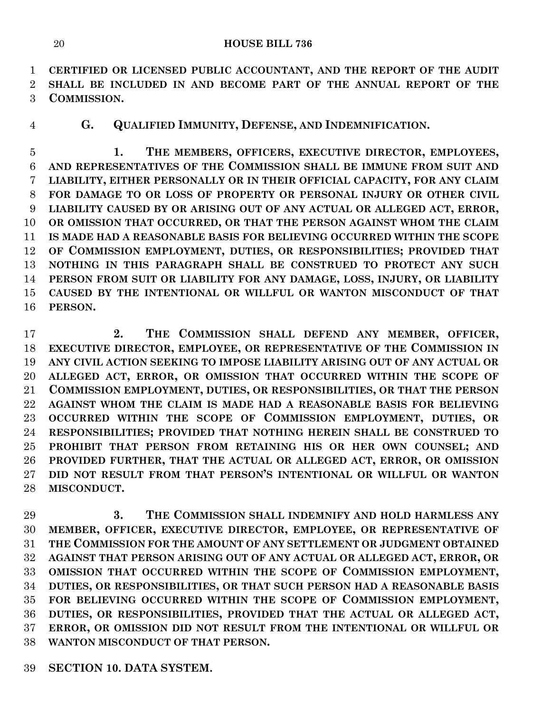**CERTIFIED OR LICENSED PUBLIC ACCOUNTANT, AND THE REPORT OF THE AUDIT SHALL BE INCLUDED IN AND BECOME PART OF THE ANNUAL REPORT OF THE COMMISSION.**

**G. QUALIFIED IMMUNITY, DEFENSE, AND INDEMNIFICATION.**

 **1. THE MEMBERS, OFFICERS, EXECUTIVE DIRECTOR, EMPLOYEES, AND REPRESENTATIVES OF THE COMMISSION SHALL BE IMMUNE FROM SUIT AND LIABILITY, EITHER PERSONALLY OR IN THEIR OFFICIAL CAPACITY, FOR ANY CLAIM FOR DAMAGE TO OR LOSS OF PROPERTY OR PERSONAL INJURY OR OTHER CIVIL LIABILITY CAUSED BY OR ARISING OUT OF ANY ACTUAL OR ALLEGED ACT, ERROR, OR OMISSION THAT OCCURRED, OR THAT THE PERSON AGAINST WHOM THE CLAIM IS MADE HAD A REASONABLE BASIS FOR BELIEVING OCCURRED WITHIN THE SCOPE OF COMMISSION EMPLOYMENT, DUTIES, OR RESPONSIBILITIES; PROVIDED THAT NOTHING IN THIS PARAGRAPH SHALL BE CONSTRUED TO PROTECT ANY SUCH PERSON FROM SUIT OR LIABILITY FOR ANY DAMAGE, LOSS, INJURY, OR LIABILITY CAUSED BY THE INTENTIONAL OR WILLFUL OR WANTON MISCONDUCT OF THAT PERSON.**

 **2. THE COMMISSION SHALL DEFEND ANY MEMBER, OFFICER, EXECUTIVE DIRECTOR, EMPLOYEE, OR REPRESENTATIVE OF THE COMMISSION IN ANY CIVIL ACTION SEEKING TO IMPOSE LIABILITY ARISING OUT OF ANY ACTUAL OR ALLEGED ACT, ERROR, OR OMISSION THAT OCCURRED WITHIN THE SCOPE OF COMMISSION EMPLOYMENT, DUTIES, OR RESPONSIBILITIES, OR THAT THE PERSON AGAINST WHOM THE CLAIM IS MADE HAD A REASONABLE BASIS FOR BELIEVING OCCURRED WITHIN THE SCOPE OF COMMISSION EMPLOYMENT, DUTIES, OR RESPONSIBILITIES; PROVIDED THAT NOTHING HEREIN SHALL BE CONSTRUED TO PROHIBIT THAT PERSON FROM RETAINING HIS OR HER OWN COUNSEL; AND PROVIDED FURTHER, THAT THE ACTUAL OR ALLEGED ACT, ERROR, OR OMISSION DID NOT RESULT FROM THAT PERSON'S INTENTIONAL OR WILLFUL OR WANTON MISCONDUCT.**

 **3. THE COMMISSION SHALL INDEMNIFY AND HOLD HARMLESS ANY MEMBER, OFFICER, EXECUTIVE DIRECTOR, EMPLOYEE, OR REPRESENTATIVE OF THE COMMISSION FOR THE AMOUNT OF ANY SETTLEMENT OR JUDGMENT OBTAINED AGAINST THAT PERSON ARISING OUT OF ANY ACTUAL OR ALLEGED ACT, ERROR, OR OMISSION THAT OCCURRED WITHIN THE SCOPE OF COMMISSION EMPLOYMENT, DUTIES, OR RESPONSIBILITIES, OR THAT SUCH PERSON HAD A REASONABLE BASIS FOR BELIEVING OCCURRED WITHIN THE SCOPE OF COMMISSION EMPLOYMENT, DUTIES, OR RESPONSIBILITIES, PROVIDED THAT THE ACTUAL OR ALLEGED ACT, ERROR, OR OMISSION DID NOT RESULT FROM THE INTENTIONAL OR WILLFUL OR WANTON MISCONDUCT OF THAT PERSON.**

**SECTION 10. DATA SYSTEM.**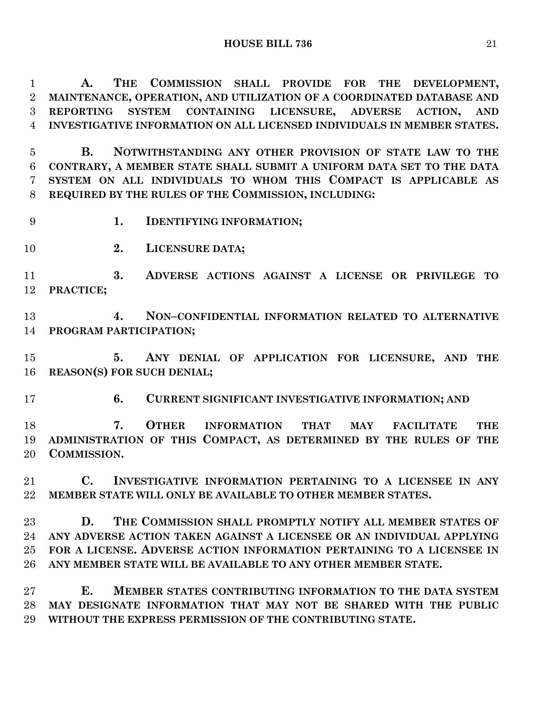**A. THE COMMISSION SHALL PROVIDE FOR THE DEVELOPMENT, MAINTENANCE, OPERATION, AND UTILIZATION OF A COORDINATED DATABASE AND REPORTING SYSTEM CONTAINING LICENSURE, ADVERSE ACTION, AND INVESTIGATIVE INFORMATION ON ALL LICENSED INDIVIDUALS IN MEMBER STATES.**

 **B. NOTWITHSTANDING ANY OTHER PROVISION OF STATE LAW TO THE CONTRARY, A MEMBER STATE SHALL SUBMIT A UNIFORM DATA SET TO THE DATA SYSTEM ON ALL INDIVIDUALS TO WHOM THIS COMPACT IS APPLICABLE AS REQUIRED BY THE RULES OF THE COMMISSION, INCLUDING:**

- **1. IDENTIFYING INFORMATION;**
- **2. LICENSURE DATA;**

 **3. ADVERSE ACTIONS AGAINST A LICENSE OR PRIVILEGE TO PRACTICE;**

 **4. NON–CONFIDENTIAL INFORMATION RELATED TO ALTERNATIVE PROGRAM PARTICIPATION;**

 **5. ANY DENIAL OF APPLICATION FOR LICENSURE, AND THE REASON(S) FOR SUCH DENIAL;**

**6. CURRENT SIGNIFICANT INVESTIGATIVE INFORMATION; AND**

 **7. OTHER INFORMATION THAT MAY FACILITATE THE ADMINISTRATION OF THIS COMPACT, AS DETERMINED BY THE RULES OF THE COMMISSION.**

 **C. INVESTIGATIVE INFORMATION PERTAINING TO A LICENSEE IN ANY MEMBER STATE WILL ONLY BE AVAILABLE TO OTHER MEMBER STATES.**

 **D. THE COMMISSION SHALL PROMPTLY NOTIFY ALL MEMBER STATES OF ANY ADVERSE ACTION TAKEN AGAINST A LICENSEE OR AN INDIVIDUAL APPLYING FOR A LICENSE. ADVERSE ACTION INFORMATION PERTAINING TO A LICENSEE IN ANY MEMBER STATE WILL BE AVAILABLE TO ANY OTHER MEMBER STATE.**

 **E. MEMBER STATES CONTRIBUTING INFORMATION TO THE DATA SYSTEM MAY DESIGNATE INFORMATION THAT MAY NOT BE SHARED WITH THE PUBLIC WITHOUT THE EXPRESS PERMISSION OF THE CONTRIBUTING STATE.**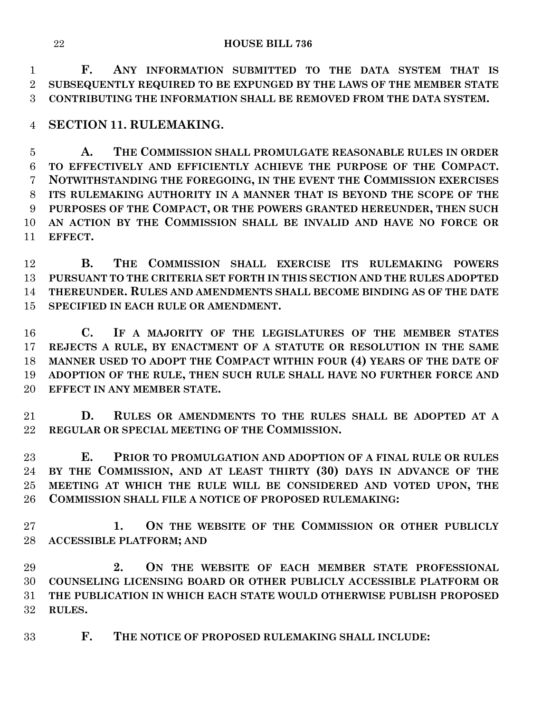**F. ANY INFORMATION SUBMITTED TO THE DATA SYSTEM THAT IS SUBSEQUENTLY REQUIRED TO BE EXPUNGED BY THE LAWS OF THE MEMBER STATE CONTRIBUTING THE INFORMATION SHALL BE REMOVED FROM THE DATA SYSTEM.**

**SECTION 11. RULEMAKING.**

 **A. THE COMMISSION SHALL PROMULGATE REASONABLE RULES IN ORDER TO EFFECTIVELY AND EFFICIENTLY ACHIEVE THE PURPOSE OF THE COMPACT. NOTWITHSTANDING THE FOREGOING, IN THE EVENT THE COMMISSION EXERCISES ITS RULEMAKING AUTHORITY IN A MANNER THAT IS BEYOND THE SCOPE OF THE PURPOSES OF THE COMPACT, OR THE POWERS GRANTED HEREUNDER, THEN SUCH AN ACTION BY THE COMMISSION SHALL BE INVALID AND HAVE NO FORCE OR EFFECT.**

 **B. THE COMMISSION SHALL EXERCISE ITS RULEMAKING POWERS PURSUANT TO THE CRITERIA SET FORTH IN THIS SECTION AND THE RULES ADOPTED THEREUNDER. RULES AND AMENDMENTS SHALL BECOME BINDING AS OF THE DATE SPECIFIED IN EACH RULE OR AMENDMENT.**

 **C. IF A MAJORITY OF THE LEGISLATURES OF THE MEMBER STATES REJECTS A RULE, BY ENACTMENT OF A STATUTE OR RESOLUTION IN THE SAME MANNER USED TO ADOPT THE COMPACT WITHIN FOUR (4) YEARS OF THE DATE OF ADOPTION OF THE RULE, THEN SUCH RULE SHALL HAVE NO FURTHER FORCE AND EFFECT IN ANY MEMBER STATE.**

 **D. RULES OR AMENDMENTS TO THE RULES SHALL BE ADOPTED AT A REGULAR OR SPECIAL MEETING OF THE COMMISSION.**

 **E. PRIOR TO PROMULGATION AND ADOPTION OF A FINAL RULE OR RULES BY THE COMMISSION, AND AT LEAST THIRTY (30) DAYS IN ADVANCE OF THE MEETING AT WHICH THE RULE WILL BE CONSIDERED AND VOTED UPON, THE COMMISSION SHALL FILE A NOTICE OF PROPOSED RULEMAKING:**

 **1. ON THE WEBSITE OF THE COMMISSION OR OTHER PUBLICLY ACCESSIBLE PLATFORM; AND** 

 **2. ON THE WEBSITE OF EACH MEMBER STATE PROFESSIONAL COUNSELING LICENSING BOARD OR OTHER PUBLICLY ACCESSIBLE PLATFORM OR THE PUBLICATION IN WHICH EACH STATE WOULD OTHERWISE PUBLISH PROPOSED RULES.**

**F. THE NOTICE OF PROPOSED RULEMAKING SHALL INCLUDE:**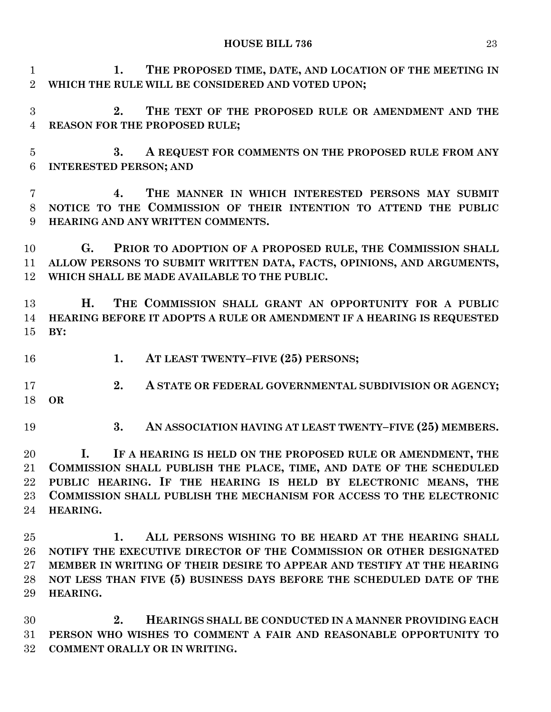**1. THE PROPOSED TIME, DATE, AND LOCATION OF THE MEETING IN WHICH THE RULE WILL BE CONSIDERED AND VOTED UPON;**

 **2. THE TEXT OF THE PROPOSED RULE OR AMENDMENT AND THE REASON FOR THE PROPOSED RULE;**

 **3. A REQUEST FOR COMMENTS ON THE PROPOSED RULE FROM ANY INTERESTED PERSON; AND** 

 **4. THE MANNER IN WHICH INTERESTED PERSONS MAY SUBMIT NOTICE TO THE COMMISSION OF THEIR INTENTION TO ATTEND THE PUBLIC HEARING AND ANY WRITTEN COMMENTS.**

 **G. PRIOR TO ADOPTION OF A PROPOSED RULE, THE COMMISSION SHALL ALLOW PERSONS TO SUBMIT WRITTEN DATA, FACTS, OPINIONS, AND ARGUMENTS, WHICH SHALL BE MADE AVAILABLE TO THE PUBLIC.**

 **H. THE COMMISSION SHALL GRANT AN OPPORTUNITY FOR A PUBLIC HEARING BEFORE IT ADOPTS A RULE OR AMENDMENT IF A HEARING IS REQUESTED BY:**

**1. AT LEAST TWENTY–FIVE (25) PERSONS;**

 **2. A STATE OR FEDERAL GOVERNMENTAL SUBDIVISION OR AGENCY; OR** 

**3. AN ASSOCIATION HAVING AT LEAST TWENTY–FIVE (25) MEMBERS.**

 **I. IF A HEARING IS HELD ON THE PROPOSED RULE OR AMENDMENT, THE COMMISSION SHALL PUBLISH THE PLACE, TIME, AND DATE OF THE SCHEDULED PUBLIC HEARING. IF THE HEARING IS HELD BY ELECTRONIC MEANS, THE COMMISSION SHALL PUBLISH THE MECHANISM FOR ACCESS TO THE ELECTRONIC HEARING.**

 **1. ALL PERSONS WISHING TO BE HEARD AT THE HEARING SHALL NOTIFY THE EXECUTIVE DIRECTOR OF THE COMMISSION OR OTHER DESIGNATED MEMBER IN WRITING OF THEIR DESIRE TO APPEAR AND TESTIFY AT THE HEARING NOT LESS THAN FIVE (5) BUSINESS DAYS BEFORE THE SCHEDULED DATE OF THE HEARING.**

 **2. HEARINGS SHALL BE CONDUCTED IN A MANNER PROVIDING EACH PERSON WHO WISHES TO COMMENT A FAIR AND REASONABLE OPPORTUNITY TO COMMENT ORALLY OR IN WRITING.**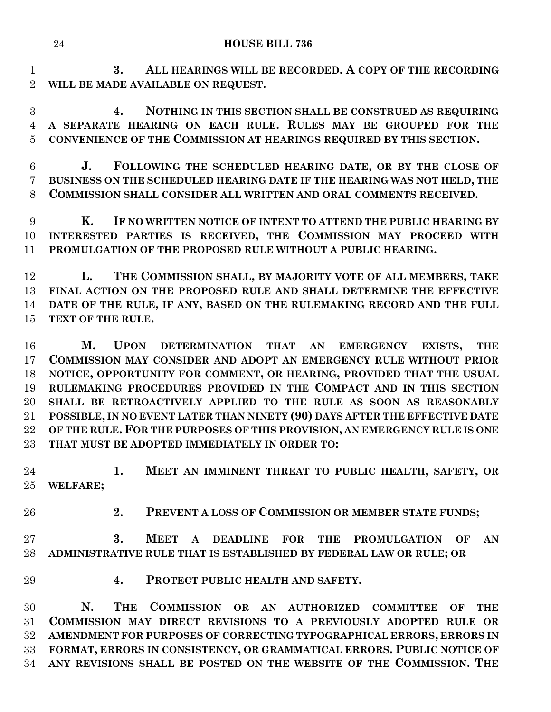**3. ALL HEARINGS WILL BE RECORDED. A COPY OF THE RECORDING WILL BE MADE AVAILABLE ON REQUEST.**

 **4. NOTHING IN THIS SECTION SHALL BE CONSTRUED AS REQUIRING A SEPARATE HEARING ON EACH RULE. RULES MAY BE GROUPED FOR THE CONVENIENCE OF THE COMMISSION AT HEARINGS REQUIRED BY THIS SECTION.**

 **J. FOLLOWING THE SCHEDULED HEARING DATE, OR BY THE CLOSE OF BUSINESS ON THE SCHEDULED HEARING DATE IF THE HEARING WAS NOT HELD, THE COMMISSION SHALL CONSIDER ALL WRITTEN AND ORAL COMMENTS RECEIVED.**

 **K. IF NO WRITTEN NOTICE OF INTENT TO ATTEND THE PUBLIC HEARING BY INTERESTED PARTIES IS RECEIVED, THE COMMISSION MAY PROCEED WITH PROMULGATION OF THE PROPOSED RULE WITHOUT A PUBLIC HEARING.**

 **L. THE COMMISSION SHALL, BY MAJORITY VOTE OF ALL MEMBERS, TAKE FINAL ACTION ON THE PROPOSED RULE AND SHALL DETERMINE THE EFFECTIVE DATE OF THE RULE, IF ANY, BASED ON THE RULEMAKING RECORD AND THE FULL TEXT OF THE RULE.**

 **M. UPON DETERMINATION THAT AN EMERGENCY EXISTS, THE COMMISSION MAY CONSIDER AND ADOPT AN EMERGENCY RULE WITHOUT PRIOR NOTICE, OPPORTUNITY FOR COMMENT, OR HEARING, PROVIDED THAT THE USUAL RULEMAKING PROCEDURES PROVIDED IN THE COMPACT AND IN THIS SECTION SHALL BE RETROACTIVELY APPLIED TO THE RULE AS SOON AS REASONABLY POSSIBLE, IN NO EVENT LATER THAN NINETY (90) DAYS AFTER THE EFFECTIVE DATE OF THE RULE. FOR THE PURPOSES OF THIS PROVISION, AN EMERGENCY RULE IS ONE THAT MUST BE ADOPTED IMMEDIATELY IN ORDER TO:**

 **1. MEET AN IMMINENT THREAT TO PUBLIC HEALTH, SAFETY, OR WELFARE;**

**2. PREVENT A LOSS OF COMMISSION OR MEMBER STATE FUNDS;** 

 **3. MEET A DEADLINE FOR THE PROMULGATION OF AN ADMINISTRATIVE RULE THAT IS ESTABLISHED BY FEDERAL LAW OR RULE; OR** 

**4. PROTECT PUBLIC HEALTH AND SAFETY.**

 **N. THE COMMISSION OR AN AUTHORIZED COMMITTEE OF THE COMMISSION MAY DIRECT REVISIONS TO A PREVIOUSLY ADOPTED RULE OR AMENDMENT FOR PURPOSES OF CORRECTING TYPOGRAPHICAL ERRORS, ERRORS IN FORMAT, ERRORS IN CONSISTENCY, OR GRAMMATICAL ERRORS. PUBLIC NOTICE OF ANY REVISIONS SHALL BE POSTED ON THE WEBSITE OF THE COMMISSION. THE**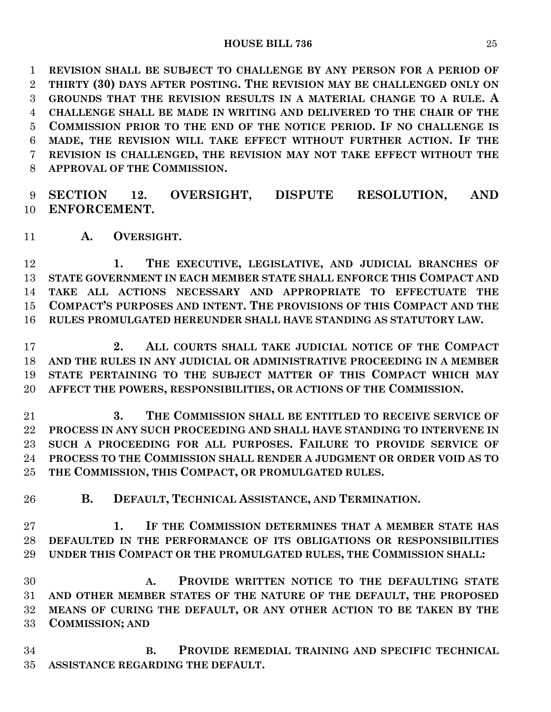**REVISION SHALL BE SUBJECT TO CHALLENGE BY ANY PERSON FOR A PERIOD OF THIRTY (30) DAYS AFTER POSTING. THE REVISION MAY BE CHALLENGED ONLY ON GROUNDS THAT THE REVISION RESULTS IN A MATERIAL CHANGE TO A RULE. A CHALLENGE SHALL BE MADE IN WRITING AND DELIVERED TO THE CHAIR OF THE COMMISSION PRIOR TO THE END OF THE NOTICE PERIOD. IF NO CHALLENGE IS MADE, THE REVISION WILL TAKE EFFECT WITHOUT FURTHER ACTION. IF THE REVISION IS CHALLENGED, THE REVISION MAY NOT TAKE EFFECT WITHOUT THE APPROVAL OF THE COMMISSION.**

 **SECTION 12. OVERSIGHT, DISPUTE RESOLUTION, AND ENFORCEMENT.**

**A. OVERSIGHT.**

 **1. THE EXECUTIVE, LEGISLATIVE, AND JUDICIAL BRANCHES OF STATE GOVERNMENT IN EACH MEMBER STATE SHALL ENFORCE THIS COMPACT AND TAKE ALL ACTIONS NECESSARY AND APPROPRIATE TO EFFECTUATE THE COMPACT'S PURPOSES AND INTENT. THE PROVISIONS OF THIS COMPACT AND THE RULES PROMULGATED HEREUNDER SHALL HAVE STANDING AS STATUTORY LAW.**

 **2. ALL COURTS SHALL TAKE JUDICIAL NOTICE OF THE COMPACT AND THE RULES IN ANY JUDICIAL OR ADMINISTRATIVE PROCEEDING IN A MEMBER STATE PERTAINING TO THE SUBJECT MATTER OF THIS COMPACT WHICH MAY AFFECT THE POWERS, RESPONSIBILITIES, OR ACTIONS OF THE COMMISSION.**

 **3. THE COMMISSION SHALL BE ENTITLED TO RECEIVE SERVICE OF PROCESS IN ANY SUCH PROCEEDING AND SHALL HAVE STANDING TO INTERVENE IN SUCH A PROCEEDING FOR ALL PURPOSES. FAILURE TO PROVIDE SERVICE OF PROCESS TO THE COMMISSION SHALL RENDER A JUDGMENT OR ORDER VOID AS TO THE COMMISSION, THIS COMPACT, OR PROMULGATED RULES.**

**B. DEFAULT, TECHNICAL ASSISTANCE, AND TERMINATION.**

 **1. IF THE COMMISSION DETERMINES THAT A MEMBER STATE HAS DEFAULTED IN THE PERFORMANCE OF ITS OBLIGATIONS OR RESPONSIBILITIES UNDER THIS COMPACT OR THE PROMULGATED RULES, THE COMMISSION SHALL:**

 **A. PROVIDE WRITTEN NOTICE TO THE DEFAULTING STATE AND OTHER MEMBER STATES OF THE NATURE OF THE DEFAULT, THE PROPOSED MEANS OF CURING THE DEFAULT, OR ANY OTHER ACTION TO BE TAKEN BY THE COMMISSION; AND** 

 **B. PROVIDE REMEDIAL TRAINING AND SPECIFIC TECHNICAL ASSISTANCE REGARDING THE DEFAULT.**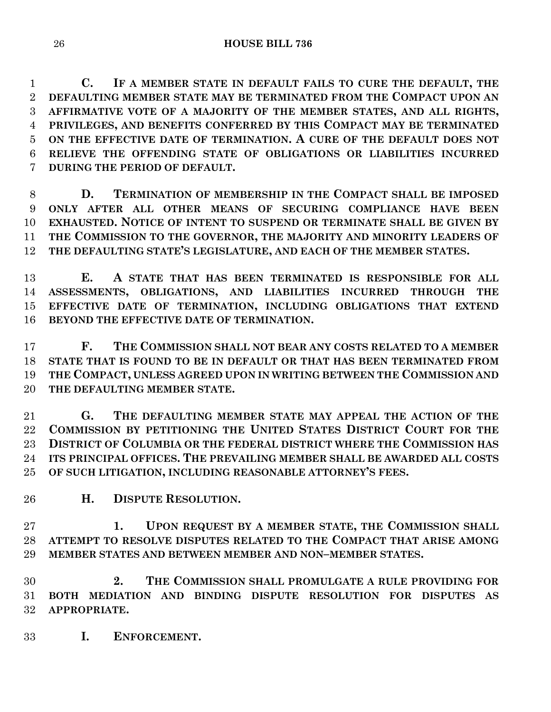**C. IF A MEMBER STATE IN DEFAULT FAILS TO CURE THE DEFAULT, THE DEFAULTING MEMBER STATE MAY BE TERMINATED FROM THE COMPACT UPON AN AFFIRMATIVE VOTE OF A MAJORITY OF THE MEMBER STATES, AND ALL RIGHTS, PRIVILEGES, AND BENEFITS CONFERRED BY THIS COMPACT MAY BE TERMINATED ON THE EFFECTIVE DATE OF TERMINATION. A CURE OF THE DEFAULT DOES NOT RELIEVE THE OFFENDING STATE OF OBLIGATIONS OR LIABILITIES INCURRED DURING THE PERIOD OF DEFAULT.**

 **D. TERMINATION OF MEMBERSHIP IN THE COMPACT SHALL BE IMPOSED ONLY AFTER ALL OTHER MEANS OF SECURING COMPLIANCE HAVE BEEN EXHAUSTED. NOTICE OF INTENT TO SUSPEND OR TERMINATE SHALL BE GIVEN BY THE COMMISSION TO THE GOVERNOR, THE MAJORITY AND MINORITY LEADERS OF THE DEFAULTING STATE'S LEGISLATURE, AND EACH OF THE MEMBER STATES.**

 **E. A STATE THAT HAS BEEN TERMINATED IS RESPONSIBLE FOR ALL ASSESSMENTS, OBLIGATIONS, AND LIABILITIES INCURRED THROUGH THE EFFECTIVE DATE OF TERMINATION, INCLUDING OBLIGATIONS THAT EXTEND BEYOND THE EFFECTIVE DATE OF TERMINATION.**

 **F. THE COMMISSION SHALL NOT BEAR ANY COSTS RELATED TO A MEMBER STATE THAT IS FOUND TO BE IN DEFAULT OR THAT HAS BEEN TERMINATED FROM THE COMPACT, UNLESS AGREED UPON IN WRITING BETWEEN THE COMMISSION AND THE DEFAULTING MEMBER STATE.**

 **G. THE DEFAULTING MEMBER STATE MAY APPEAL THE ACTION OF THE COMMISSION BY PETITIONING THE UNITED STATES DISTRICT COURT FOR THE DISTRICT OF COLUMBIA OR THE FEDERAL DISTRICT WHERE THE COMMISSION HAS ITS PRINCIPAL OFFICES. THE PREVAILING MEMBER SHALL BE AWARDED ALL COSTS OF SUCH LITIGATION, INCLUDING REASONABLE ATTORNEY'S FEES.**

**H. DISPUTE RESOLUTION.**

 **1. UPON REQUEST BY A MEMBER STATE, THE COMMISSION SHALL ATTEMPT TO RESOLVE DISPUTES RELATED TO THE COMPACT THAT ARISE AMONG MEMBER STATES AND BETWEEN MEMBER AND NON–MEMBER STATES.**

 **2. THE COMMISSION SHALL PROMULGATE A RULE PROVIDING FOR BOTH MEDIATION AND BINDING DISPUTE RESOLUTION FOR DISPUTES AS APPROPRIATE.**

**I. ENFORCEMENT.**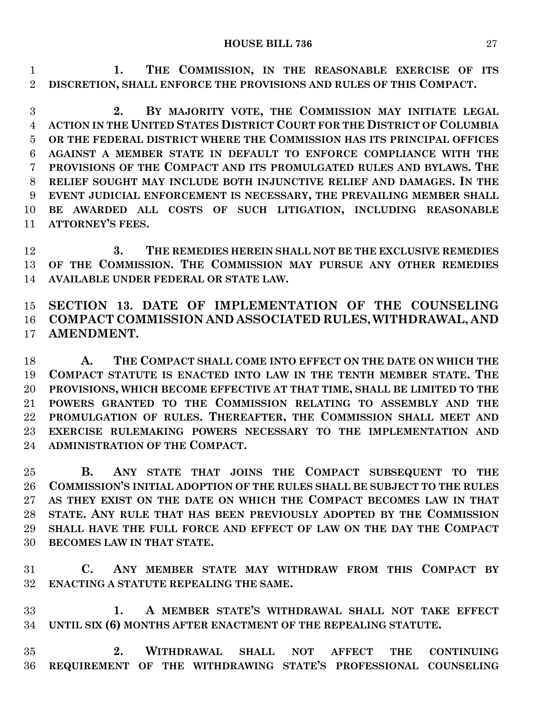**1. THE COMMISSION, IN THE REASONABLE EXERCISE OF ITS DISCRETION, SHALL ENFORCE THE PROVISIONS AND RULES OF THIS COMPACT.**

 **2. BY MAJORITY VOTE, THE COMMISSION MAY INITIATE LEGAL ACTION IN THE UNITED STATES DISTRICT COURT FOR THE DISTRICT OF COLUMBIA OR THE FEDERAL DISTRICT WHERE THE COMMISSION HAS ITS PRINCIPAL OFFICES AGAINST A MEMBER STATE IN DEFAULT TO ENFORCE COMPLIANCE WITH THE PROVISIONS OF THE COMPACT AND ITS PROMULGATED RULES AND BYLAWS. THE RELIEF SOUGHT MAY INCLUDE BOTH INJUNCTIVE RELIEF AND DAMAGES. IN THE EVENT JUDICIAL ENFORCEMENT IS NECESSARY, THE PREVAILING MEMBER SHALL BE AWARDED ALL COSTS OF SUCH LITIGATION, INCLUDING REASONABLE ATTORNEY'S FEES.**

 **3. THE REMEDIES HEREIN SHALL NOT BE THE EXCLUSIVE REMEDIES OF THE COMMISSION. THE COMMISSION MAY PURSUE ANY OTHER REMEDIES AVAILABLE UNDER FEDERAL OR STATE LAW.**

 **SECTION 13. DATE OF IMPLEMENTATION OF THE COUNSELING COMPACT COMMISSION AND ASSOCIATED RULES, WITHDRAWAL, AND AMENDMENT.**

 **A. THE COMPACT SHALL COME INTO EFFECT ON THE DATE ON WHICH THE COMPACT STATUTE IS ENACTED INTO LAW IN THE TENTH MEMBER STATE. THE PROVISIONS, WHICH BECOME EFFECTIVE AT THAT TIME, SHALL BE LIMITED TO THE POWERS GRANTED TO THE COMMISSION RELATING TO ASSEMBLY AND THE PROMULGATION OF RULES. THEREAFTER, THE COMMISSION SHALL MEET AND EXERCISE RULEMAKING POWERS NECESSARY TO THE IMPLEMENTATION AND ADMINISTRATION OF THE COMPACT.**

 **B. ANY STATE THAT JOINS THE COMPACT SUBSEQUENT TO THE COMMISSION'S INITIAL ADOPTION OF THE RULES SHALL BE SUBJECT TO THE RULES AS THEY EXIST ON THE DATE ON WHICH THE COMPACT BECOMES LAW IN THAT STATE. ANY RULE THAT HAS BEEN PREVIOUSLY ADOPTED BY THE COMMISSION SHALL HAVE THE FULL FORCE AND EFFECT OF LAW ON THE DAY THE COMPACT BECOMES LAW IN THAT STATE.**

 **C. ANY MEMBER STATE MAY WITHDRAW FROM THIS COMPACT BY ENACTING A STATUTE REPEALING THE SAME.**

 **1. A MEMBER STATE'S WITHDRAWAL SHALL NOT TAKE EFFECT UNTIL SIX (6) MONTHS AFTER ENACTMENT OF THE REPEALING STATUTE.**

 **2. WITHDRAWAL SHALL NOT AFFECT THE CONTINUING REQUIREMENT OF THE WITHDRAWING STATE'S PROFESSIONAL COUNSELING**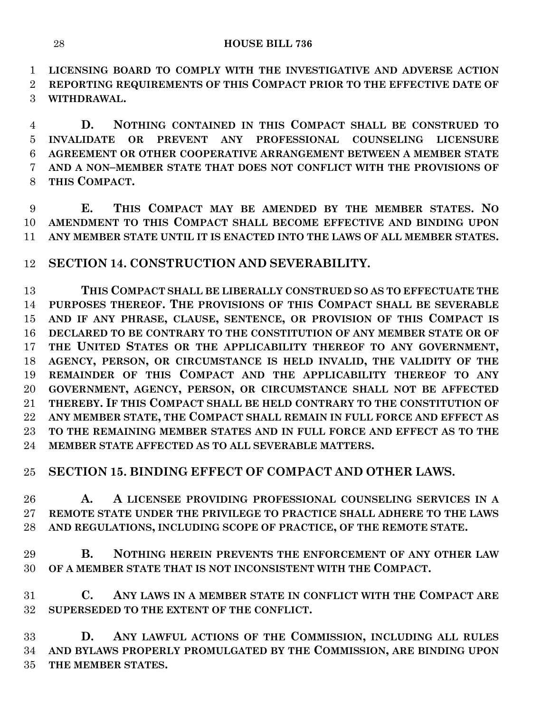**LICENSING BOARD TO COMPLY WITH THE INVESTIGATIVE AND ADVERSE ACTION** 

 **REPORTING REQUIREMENTS OF THIS COMPACT PRIOR TO THE EFFECTIVE DATE OF WITHDRAWAL.**

 **D. NOTHING CONTAINED IN THIS COMPACT SHALL BE CONSTRUED TO INVALIDATE OR PREVENT ANY PROFESSIONAL COUNSELING LICENSURE AGREEMENT OR OTHER COOPERATIVE ARRANGEMENT BETWEEN A MEMBER STATE AND A NON–MEMBER STATE THAT DOES NOT CONFLICT WITH THE PROVISIONS OF THIS COMPACT.**

 **E. THIS COMPACT MAY BE AMENDED BY THE MEMBER STATES. NO AMENDMENT TO THIS COMPACT SHALL BECOME EFFECTIVE AND BINDING UPON ANY MEMBER STATE UNTIL IT IS ENACTED INTO THE LAWS OF ALL MEMBER STATES.**

**SECTION 14. CONSTRUCTION AND SEVERABILITY.**

 **THIS COMPACT SHALL BE LIBERALLY CONSTRUED SO AS TO EFFECTUATE THE PURPOSES THEREOF. THE PROVISIONS OF THIS COMPACT SHALL BE SEVERABLE AND IF ANY PHRASE, CLAUSE, SENTENCE, OR PROVISION OF THIS COMPACT IS DECLARED TO BE CONTRARY TO THE CONSTITUTION OF ANY MEMBER STATE OR OF THE UNITED STATES OR THE APPLICABILITY THEREOF TO ANY GOVERNMENT, AGENCY, PERSON, OR CIRCUMSTANCE IS HELD INVALID, THE VALIDITY OF THE REMAINDER OF THIS COMPACT AND THE APPLICABILITY THEREOF TO ANY GOVERNMENT, AGENCY, PERSON, OR CIRCUMSTANCE SHALL NOT BE AFFECTED THEREBY. IF THIS COMPACT SHALL BE HELD CONTRARY TO THE CONSTITUTION OF ANY MEMBER STATE, THE COMPACT SHALL REMAIN IN FULL FORCE AND EFFECT AS TO THE REMAINING MEMBER STATES AND IN FULL FORCE AND EFFECT AS TO THE MEMBER STATE AFFECTED AS TO ALL SEVERABLE MATTERS.**

## **SECTION 15. BINDING EFFECT OF COMPACT AND OTHER LAWS.**

 **A. A LICENSEE PROVIDING PROFESSIONAL COUNSELING SERVICES IN A REMOTE STATE UNDER THE PRIVILEGE TO PRACTICE SHALL ADHERE TO THE LAWS AND REGULATIONS, INCLUDING SCOPE OF PRACTICE, OF THE REMOTE STATE.**

 **B. NOTHING HEREIN PREVENTS THE ENFORCEMENT OF ANY OTHER LAW OF A MEMBER STATE THAT IS NOT INCONSISTENT WITH THE COMPACT.**

 **C. ANY LAWS IN A MEMBER STATE IN CONFLICT WITH THE COMPACT ARE SUPERSEDED TO THE EXTENT OF THE CONFLICT.**

 **D. ANY LAWFUL ACTIONS OF THE COMMISSION, INCLUDING ALL RULES AND BYLAWS PROPERLY PROMULGATED BY THE COMMISSION, ARE BINDING UPON THE MEMBER STATES.**